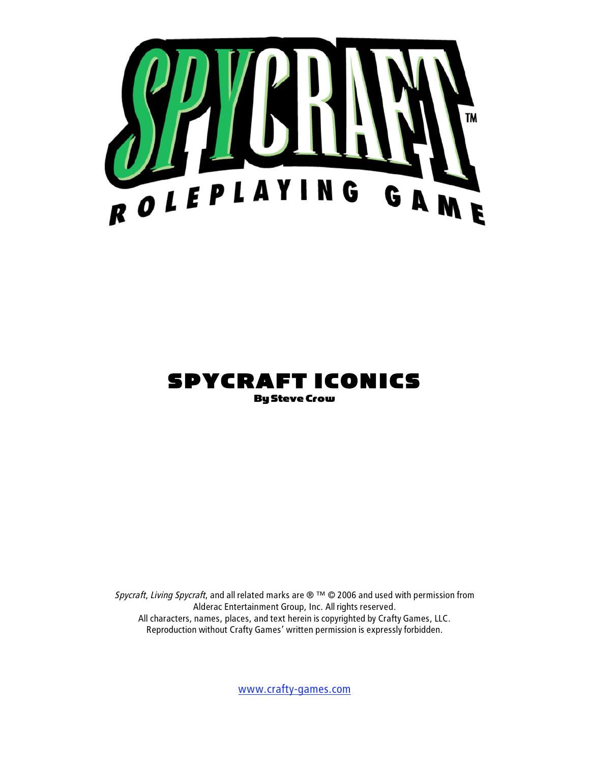

# SPYCRAFT ICONICS

Spycraft, Living Spycraft, and all related marks are  $\mathcal{O}^{TM}$   $\mathcal{O}$  2006 and used with permission from Alderac Entertainment Group, Inc. All rights reserved. All characters, names, places, and text herein is copyrighted by Crafty Games, LLC. Reproduction without Crafty Games' written permission is expressly forbidden.

www.crafty-games.com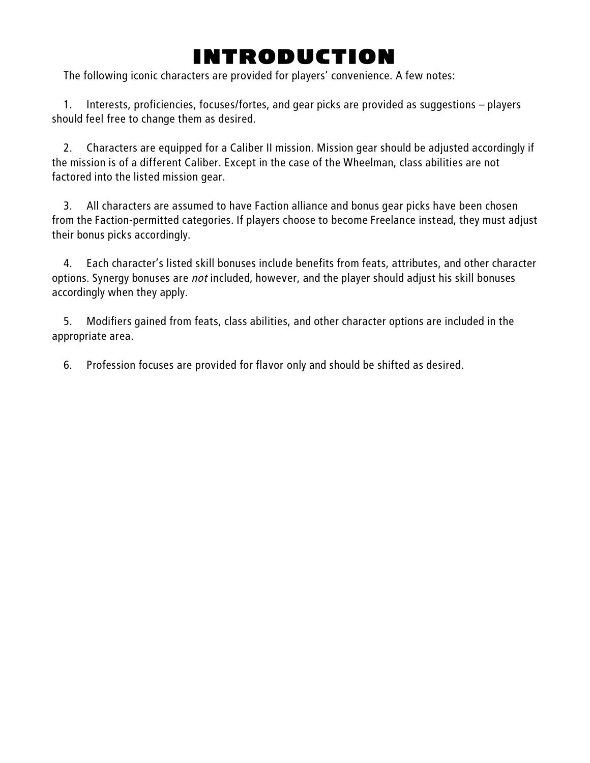# INTRODUCTION

The following iconic characters are provided for players' convenience. A few notes:

1. Interests, proficiencies, focuses/fortes, and gear picks are provided as suggestions – players should feel free to change them as desired.

2. Characters are equipped for a Caliber II mission. Mission gear should be adjusted accordingly if the mission is of a different Caliber. Except in the case of the Wheelman, class abilities are not factored into the listed mission gear.

3. All characters are assumed to have Faction alliance and bonus gear picks have been chosen from the Faction-permitted categories. If players choose to become Freelance instead, they must adjust their bonus picks accordingly.

4. Each character's listed skill bonuses include benefits from feats, attributes, and other character options. Synergy bonuses are not included, however, and the player should adjust his skill bonuses accordingly when they apply.

5. Modifiers gained from feats, class abilities, and other character options are included in the appropriate area.

6. Profession focuses are provided for flavor only and should be shifted as desired.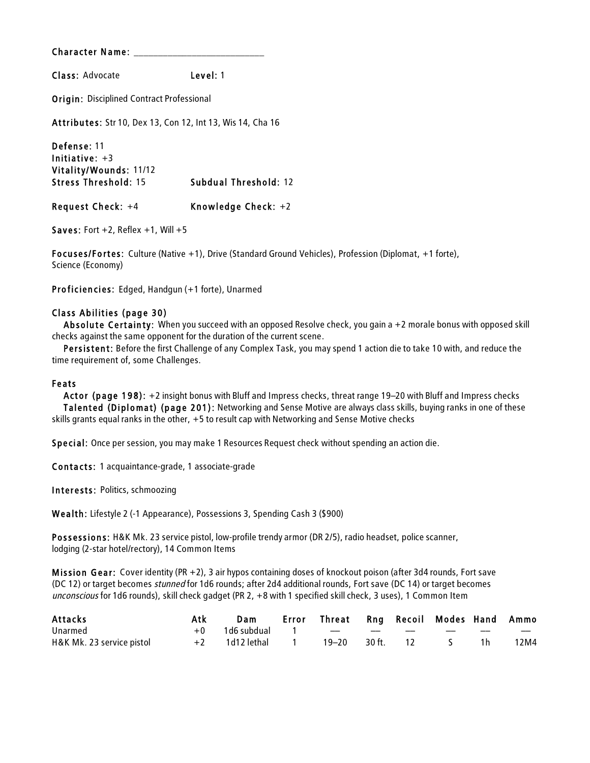Class: Advocate Level: 1

**Origin: Disciplined Contract Professional** 

Attributes: Str 10, Dex 13, Con 12, Int 13, Wis 14, Cha 16

Defense: 11 Initiative: +3 Vitality/Wounds: 11/12 Stress Threshold: 15 Subdual Threshold: 12 Request Check: +4 Knowledge Check: +2

Saves: Fort  $+2$ , Reflex  $+1$ , Will  $+5$ 

Focuses/Fortes: Culture (Native +1), Drive (Standard Ground Vehicles), Profession (Diplomat, +1 forte), Science (Economy)

Proficiencies: Edged, Handgun (+1 forte), Unarmed

#### Class Abilities (page 30)

Absolute Certainty: When you succeed with an opposed Resolve check, you gain a +2 morale bonus with opposed skill checks against the same opponent for the duration of the current scene.

Persistent: Before the first Challenge of any Complex Task, you may spend 1 action die to take 10 with, and reduce the time requirement of, some Challenges.

#### Feats

Actor (page 198): +2 insight bonus with Bluff and Impress checks, threat range 19–20 with Bluff and Impress checks Talented (Diplomat) (page 201): Networking and Sense Motive are always class skills, buying ranks in one of these skills grants equal ranks in the other, +5 to result cap with Networking and Sense Motive checks

Special: Once per session, you may make 1 Resources Request check without spending an action die.

Contacts: 1 acquaintance-grade, 1 associate-grade

Interests: Politics, schmoozing

Wealth: Lifestyle 2 (-1 Appearance), Possessions 3, Spending Cash 3 (\$900)

Possessions: H&K Mk. 23 service pistol, low-profile trendy armor (DR 2/5), radio headset, police scanner, lodging (2-star hotel/rectory), 14 Common Items

Mis sion Gear: Cover identity (PR +2), 3 air hypos containing doses of knockout poison (after 3d4 rounds, Fort save (DC 12) or target becomes stunned for 1d6 rounds; after 2d4 additional rounds, Fort save (DC 14) or target becomes unconscious for 1d6 rounds), skill check gadget (PR 2, +8 with 1 specified skill check, 3 uses), 1 Common Item

| Attacks                   |      | Dam                      | Error Threat Rng Recoil Modes Hand Ammo |     |                          |      |
|---------------------------|------|--------------------------|-----------------------------------------|-----|--------------------------|------|
| Unarmed                   |      | $+0$ 1d6 subdual 1 -- -- |                                         | $-$ | $\overline{\phantom{a}}$ | $-$  |
| H&K Mk. 23 service pistol | $+2$ | 1d12 lethal            1 | 19–20 30 ft.                            | 12  | 1 h                      | 12M4 |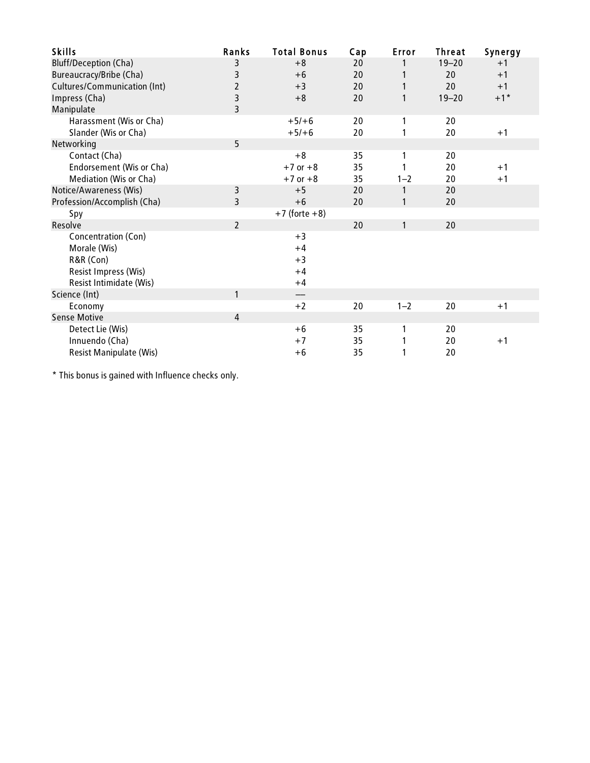| <b>Skills</b>                       | Ranks          | <b>Total Bonus</b> | Cap | Error   | <b>Threat</b> | Synergy |
|-------------------------------------|----------------|--------------------|-----|---------|---------------|---------|
| <b>Bluff/Deception (Cha)</b>        | 3              | $+8$               | 20  |         | $19 - 20$     | $+1$    |
| Bureaucracy/Bribe (Cha)             | 3              | $+6$               | 20  |         | 20            | $+1$    |
| <b>Cultures/Communication (Int)</b> | $\overline{2}$ | $+3$               | 20  | 1       | 20            | $+1$    |
| Impress (Cha)                       | 3              | $+8$               | 20  | 1       | $19 - 20$     | $+1$ *  |
| Manipulate                          | 3              |                    |     |         |               |         |
| Harassment (Wis or Cha)             |                | $+5/+6$            | 20  | 1       | 20            |         |
| Slander (Wis or Cha)                |                | $+5/+6$            | 20  |         | 20            | $+1$    |
| Networking                          | 5              |                    |     |         |               |         |
| Contact (Cha)                       |                | $+8$               | 35  | 1       | 20            |         |
| Endorsement (Wis or Cha)            |                | $+7$ or $+8$       | 35  |         | 20            | $+1$    |
| Mediation (Wis or Cha)              |                | $+7$ or $+8$       | 35  | $1 - 2$ | 20            | $+1$    |
| Notice/Awareness (Wis)              | 3              | $+5$               | 20  | 1       | 20            |         |
| Profession/Accomplish (Cha)         | 3              | $+6$               | 20  | 1       | 20            |         |
| Spy                                 |                | $+7$ (forte $+8$ ) |     |         |               |         |
| Resolve                             | $\overline{2}$ |                    | 20  | 1       | 20            |         |
| Concentration (Con)                 |                | $+3$               |     |         |               |         |
| Morale (Wis)                        |                | $+4$               |     |         |               |         |
| R&R (Con)                           |                | $+3$               |     |         |               |         |
| Resist Impress (Wis)                |                | $+4$               |     |         |               |         |
| Resist Intimidate (Wis)             |                | $+4$               |     |         |               |         |
| Science (Int)                       | 1              | ——                 |     |         |               |         |
| Economy                             |                | $+2$               | 20  | $1 - 2$ | 20            | $+1$    |
| <b>Sense Motive</b>                 | 4              |                    |     |         |               |         |
| Detect Lie (Wis)                    |                | $+6$               | 35  | 1       | 20            |         |
| Innuendo (Cha)                      |                | $+7$               | 35  |         | 20            | $+1$    |
| <b>Resist Manipulate (Wis)</b>      |                | $+6$               | 35  | 1       | 20            |         |

\* This bonus is gained with Influence checks only.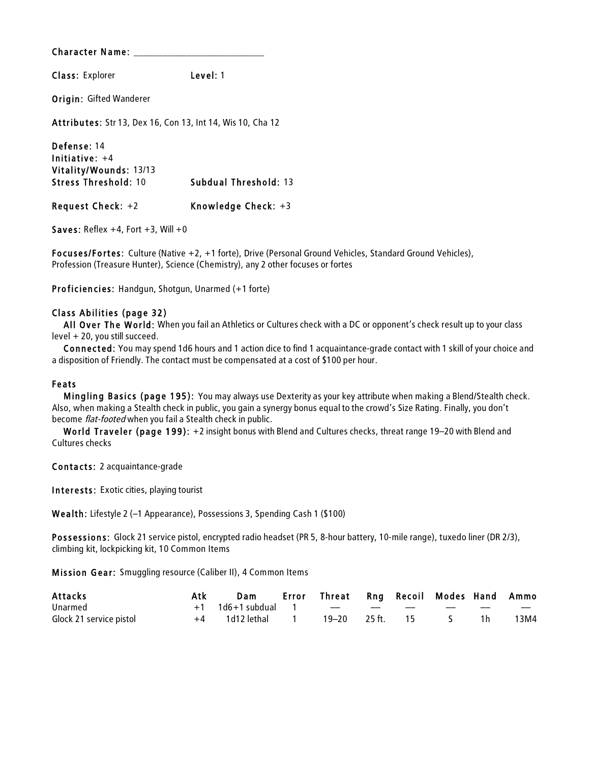Class: Explorer Level: 1

Origin: Gifted Wanderer

Attributes: Str 13, Dex 16, Con 13, Int 14, Wis 10, Cha 12

Defense: 14 Initiative: +4 Vitality/Wounds: 13/13 Stress Threshold: 10 Subdual Threshold: 13 Request Check: +2 Knowledge Check: +3

Saves: Reflex  $+4$ , Fort  $+3$ , Will  $+0$ 

Focuses/Fortes: Culture (Native +2, +1 forte), Drive (Personal Ground Vehicles, Standard Ground Vehicles), Profession (Treasure Hunter), Science (Chemistry), any 2 other focuses or fortes

Proficiencies: Handgun, Shotgun, Unarmed (+1 forte)

#### Class Abilities (page 32)

All Over The World: When you fail an Athletics or Cultures check with a DC or opponent's check result up to your class level + 20, you still succeed.

Connected: You may spend 1d6 hours and 1 action dice to find 1 acquaintance-grade contact with 1 skill of your choice and a disposition of Friendly. The contact must be compensated at a cost of \$100 per hour.

#### Feats

Mingling Basics (page 195): You may always use Dexterity as your key attribute when making a Blend/Stealth check. Also, when making a Stealth check in public, you gain a synergy bonus equal to the crowd's Size Rating. Finally, you don't become flat-footed when you fail a Stealth check in public.

World Traveler (page 199): +2 insight bonus with Blend and Cultures checks, threat range 19–20 with Blend and Cultures checks

Contacts: 2 acquaintance-grade

Interests: Exotic cities, playing tourist

Wealth: Lifestyle 2 (–1 Appearance), Possessions 3, Spending Cash 1 (\$100)

Possessions: Glock 21 service pistol, encrypted radio headset (PR 5, 8-hour battery, 10-mile range), tuxedo liner (DR 2/3), climbing kit, lockpicking kit, 10 Common Items

Mis sion Gear: Smuggling resource (Caliber II), 4 Common Items

| <b>Attacks</b>          | Atk | Dam Error Threat Rng Recoil Modes Hand Ammo |                 |     |                             |                          |      |
|-------------------------|-----|---------------------------------------------|-----------------|-----|-----------------------------|--------------------------|------|
| Unarmed                 |     | $+1$ 1d6+1 subdual 1 -- --                  |                 | $-$ |                             | $\overline{\phantom{a}}$ |      |
| Glock 21 service pistol |     | +4 1d12 lethal 1                            | 19–20 25 ft. 15 |     | $\sim$ $\sim$ $\sim$ $\sim$ |                          | 13M4 |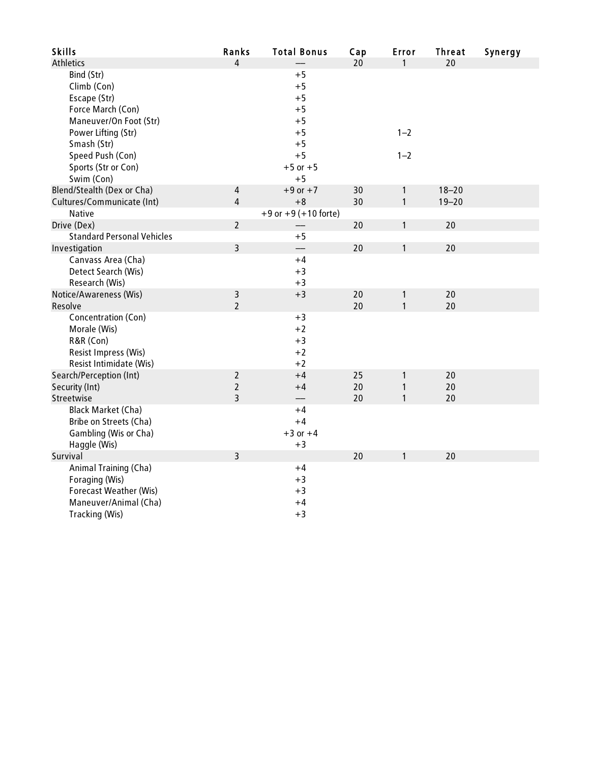| <b>Skills</b>                     | Ranks          | <b>Total Bonus</b>       | Cap | Error        | <b>Threat</b> | Synergy |
|-----------------------------------|----------------|--------------------------|-----|--------------|---------------|---------|
| Athletics                         | $\overline{4}$ |                          | 20  | 1            | 20            |         |
| Bind (Str)                        |                | $+5$                     |     |              |               |         |
| Climb (Con)                       |                | $+5$                     |     |              |               |         |
| Escape (Str)                      |                | $+5$                     |     |              |               |         |
| Force March (Con)                 |                | $+5$                     |     |              |               |         |
| Maneuver/On Foot (Str)            |                | $+5$                     |     |              |               |         |
| Power Lifting (Str)               |                | $+5$                     |     | $1 - 2$      |               |         |
| Smash (Str)                       |                | $+5$                     |     |              |               |         |
| Speed Push (Con)                  |                | $+5$                     |     | $1 - 2$      |               |         |
| Sports (Str or Con)               |                | $+5$ or $+5$             |     |              |               |         |
| Swim (Con)                        |                | $+5$                     |     |              |               |         |
| Blend/Stealth (Dex or Cha)        | $\sqrt{4}$     | $+9$ or $+7$             | 30  | $\mathbf{1}$ | $18 - 20$     |         |
| Cultures/Communicate (Int)        | $\overline{4}$ | $+8$                     | 30  | $\mathbf{1}$ | $19 - 20$     |         |
| Native                            |                | $+9$ or $+9$ (+10 forte) |     |              |               |         |
| Drive (Dex)                       | $\overline{2}$ |                          | 20  | $\mathbf{1}$ | 20            |         |
| <b>Standard Personal Vehicles</b> |                | $+5$                     |     |              |               |         |
| Investigation                     | $\overline{3}$ |                          | 20  | $\mathbf{1}$ | 20            |         |
| Canvass Area (Cha)                |                | $+4$                     |     |              |               |         |
| Detect Search (Wis)               |                | $+3$                     |     |              |               |         |
| Research (Wis)                    |                | $+3$                     |     |              |               |         |
| Notice/Awareness (Wis)            | $\mathsf 3$    | $+3$                     | 20  | $\mathbf{1}$ | 20            |         |
| Resolve                           | $\overline{2}$ |                          | 20  | $\mathbf{1}$ | 20            |         |
| Concentration (Con)               |                | $+3$                     |     |              |               |         |
| Morale (Wis)                      |                | $+2$                     |     |              |               |         |
| R&R (Con)                         |                | $+3$                     |     |              |               |         |
| Resist Impress (Wis)              |                | $+2$                     |     |              |               |         |
| Resist Intimidate (Wis)           |                | $+2$                     |     |              |               |         |
| Search/Perception (Int)           | $\overline{2}$ | $+4$                     | 25  | $\mathbf{1}$ | 20            |         |
| Security (Int)                    | $\mathbf 2$    | $+4$                     | 20  | $\mathbf{1}$ | 20            |         |
| Streetwise                        | $\overline{3}$ |                          | 20  | $\mathbf{1}$ | 20            |         |
| <b>Black Market (Cha)</b>         |                | $+4$                     |     |              |               |         |
| Bribe on Streets (Cha)            |                | $+4$                     |     |              |               |         |
| Gambling (Wis or Cha)             |                | $+3$ or $+4$             |     |              |               |         |
| Haggle (Wis)                      |                | $+3$                     |     |              |               |         |
| Survival                          | $\overline{3}$ |                          | 20  | $\mathbf{1}$ | 20            |         |
| Animal Training (Cha)             |                | $+4$                     |     |              |               |         |
| Foraging (Wis)                    |                | $+3$                     |     |              |               |         |
| Forecast Weather (Wis)            |                | $+3$                     |     |              |               |         |
| Maneuver/Animal (Cha)             |                | $+4$                     |     |              |               |         |
| Tracking (Wis)                    |                | $+3$                     |     |              |               |         |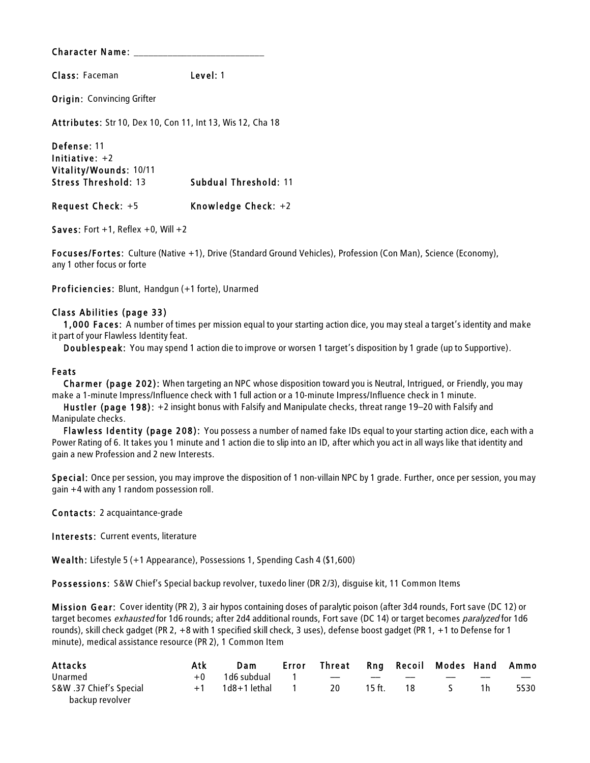Class: Faceman Level: 1

**Origin: Convincing Grifter** 

Attributes: Str 10, Dex 10, Con 11, Int 13, Wis 12, Cha 18

Defense: 11 Initiative: +2 Vitality/Wounds: 10/11 Stress Threshold: 13 Subdual Threshold: 11 Request Check: +5 Knowledge Check: +2

Saves: Fort  $+1$ , Reflex  $+0$ , Will  $+2$ 

Focuses/Fortes: Culture (Native +1), Drive (Standard Ground Vehicles), Profession (Con Man), Science (Economy), any 1 other focus or forte

Proficiencies: Blunt, Handgun (+1 forte), Unarmed

#### Class Abilities (page 33)

1,000 Faces: A number of times per mission equal to your starting action dice, you may steal a target's identity and make it part of your Flawless Identity feat.

Doublespeak: You may spend 1 action die to improve or worsen 1 target's disposition by 1 grade (up to Supportive).

#### Feats

Charmer (page 202): When targeting an NPC whose disposition toward you is Neutral, Intrigued, or Friendly, you may make a 1-minute Impress/Influence check with 1 full action or a 10-minute Impress/Influence check in 1 minute.

Hus tler (page 198): +2 insight bonus with Falsify and Manipulate checks, threat range 19–20 with Falsify and Manipulate checks.

Flawless Identity (page 208): You possess a number of named fake IDs equal to your starting action dice, each with a Power Rating of 6. It takes you 1 minute and 1 action die to slip into an ID, after which you act in all ways like that identity and gain a new Profession and 2 new Interests.

Special: Once per session, you may improve the disposition of 1 non-villain NPC by 1 grade. Further, once per session, you may gain +4 with any 1 random possession roll.

Contacts: 2 acquaintance-grade

Interests: Current events, literature

Wealth: Lifestyle 5 (+1 Appearance), Possessions 1, Spending Cash 4 (\$1,600)

Possessions: S&W Chief's Special backup revolver, tuxedo liner (DR 2/3), disguise kit, 11 Common Items

Mis sion Gear: Cover identity (PR 2), 3 air hypos containing doses of paralytic poison (after 3d4 rounds, Fort save (DC 12) or target becomes exhausted for 1d6 rounds; after 2d4 additional rounds, Fort save (DC 14) or target becomes paralyzed for 1d6 rounds), skill check gadget (PR 2, +8 with 1 specified skill check, 3 uses), defense boost gadget (PR 1, +1 to Defense for 1 minute), medical assistance resource (PR 2), 1 Common Item

| Attacks                                    | Atk  | Dam                    | Error Threat Rng Recoil Modes Hand Ammo |        |     |                   |     |                   |
|--------------------------------------------|------|------------------------|-----------------------------------------|--------|-----|-------------------|-----|-------------------|
| Unarmed                                    | $+0$ | 1d6 subdual 1 -- -- -- |                                         |        |     | $\hspace{0.05cm}$ |     | $\hspace{0.05cm}$ |
| S&W .37 Chief's Special<br>backup revolver |      |                        | <b>20</b>                               | 15 ft. | -18 | S                 | 1 h | 5530              |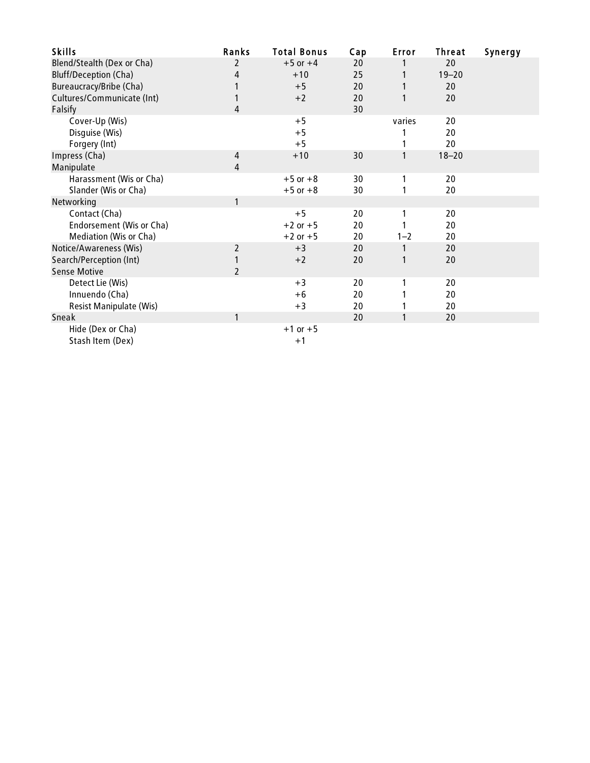| <b>Skills</b>                  | Ranks          | <b>Total Bonus</b> | Cap | Error   | Threat    | Synergy |
|--------------------------------|----------------|--------------------|-----|---------|-----------|---------|
| Blend/Stealth (Dex or Cha)     | $\mathfrak{p}$ | $+5$ or $+4$       | 20  |         | 20        |         |
| <b>Bluff/Deception (Cha)</b>   | 4              | $+10$              | 25  |         | $19 - 20$ |         |
| Bureaucracy/Bribe (Cha)        |                | $+5$               | 20  |         | 20        |         |
| Cultures/Communicate (Int)     |                | $+2$               | 20  |         | 20        |         |
| Falsify                        | 4              |                    | 30  |         |           |         |
| Cover-Up (Wis)                 |                | $+5$               |     | varies  | 20        |         |
| Disguise (Wis)                 |                | $+5$               |     |         | 20        |         |
| Forgery (Int)                  |                | $+5$               |     |         | 20        |         |
| Impress (Cha)                  | 4              | $+10$              | 30  | 1       | $18 - 20$ |         |
| Manipulate                     | 4              |                    |     |         |           |         |
| Harassment (Wis or Cha)        |                | $+5$ or $+8$       | 30  |         | 20        |         |
| Slander (Wis or Cha)           |                | $+5$ or $+8$       | 30  |         | 20        |         |
| Networking                     | 1              |                    |     |         |           |         |
| Contact (Cha)                  |                | $+5$               | 20  |         | 20        |         |
| Endorsement (Wis or Cha)       |                | $+2$ or $+5$       | 20  |         | 20        |         |
| Mediation (Wis or Cha)         |                | $+2$ or $+5$       | 20  | $1 - 2$ | 20        |         |
| Notice/Awareness (Wis)         | 2              | $+3$               | 20  | 1       | 20        |         |
| Search/Perception (Int)        |                | $+2$               | 20  |         | 20        |         |
| <b>Sense Motive</b>            | $\overline{2}$ |                    |     |         |           |         |
| Detect Lie (Wis)               |                | $+3$               | 20  |         | 20        |         |
| Innuendo (Cha)                 |                | $+6$               | 20  |         | 20        |         |
| <b>Resist Manipulate (Wis)</b> |                | $+3$               | 20  |         | 20        |         |
| Sneak                          | 1              |                    | 20  |         | 20        |         |
| Hide (Dex or Cha)              |                | $+1$ or $+5$       |     |         |           |         |
| Stash Item (Dex)               |                | $+1$               |     |         |           |         |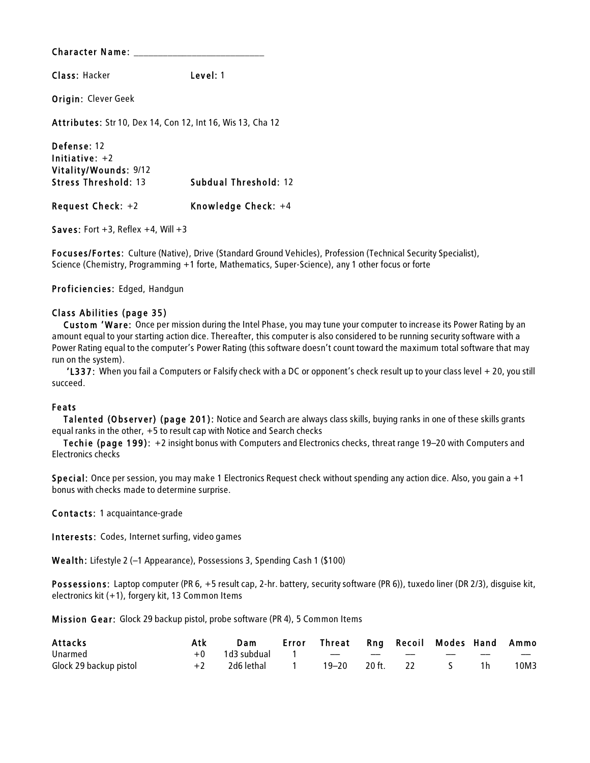Class: Hacker Level: 1

Origin: Clever Geek

Attributes: Str 10, Dex 14, Con 12, Int 16, Wis 13, Cha 12

Defense: 12 Initiative: +2 Vitality/Wounds: 9/12 Stress Threshold: 13 Subdual Threshold: 12 Request Check: +2 Knowledge Check: +4

Saves: Fort  $+3$ , Reflex  $+4$ , Will  $+3$ 

Focuses/Fortes: Culture (Native), Drive (Standard Ground Vehicles), Profession (Technical Security Specialist), Science (Chemistry, Programming +1 forte, Mathematics, Super-Science), any 1 other focus or forte

Proficiencies: Edged, Handgun

#### Class Abilities (page 35)

Custom 'Ware: Once per mission during the Intel Phase, you may tune your computer to increase its Power Rating by an amount equal to your starting action dice. Thereafter, this computer is also considered to be running security software with a Power Rating equal to the computer's Power Rating (this software doesn't count toward the maximum total software that may run on the system).

 'L337: When you fail a Computers or Falsify check with a DC or opponent's check result up to your class level + 20, you still succeed.

#### Feats

Talented (Observer) (page 201): Notice and Search are always class skills, buying ranks in one of these skills grants equal ranks in the other, +5 to result cap with Notice and Search checks

Techie (page 199): +2 insight bonus with Computers and Electronics checks, threat range 19–20 with Computers and Electronics checks

Special: Once per session, you may make 1 Electronics Request check without spending any action dice. Also, you gain a +1 bonus with checks made to determine surprise.

Contacts: 1 acquaintance-grade

Interests: Codes, Internet surfing, video games

Wealth: Lifestyle 2 (–1 Appearance), Possessions 3, Spending Cash 1 (\$100)

Possessions: Laptop computer (PR 6, +5 result cap, 2-hr. battery, security software (PR 6)), tuxedo liner (DR 2/3), disquise kit, electronics kit (+1), forgery kit, 13 Common Items

Mis sion Gear: Glock 29 backup pistol, probe software (PR 4), 5 Common Items

| <b>Attacks</b>         | Atk  | Dam        | Error Threat Rng Recoil Modes Hand Ammo |               |                 |                          |      |
|------------------------|------|------------|-----------------------------------------|---------------|-----------------|--------------------------|------|
| Unarmed                |      |            |                                         | $-$           |                 | $\overline{\phantom{a}}$ | $-$  |
| Glock 29 backup pistol | $+2$ | 2d6 lethal | 19–20 20 ft.                            | $\frac{2}{2}$ | $\sim$ 5 $\sim$ |                          | 10M3 |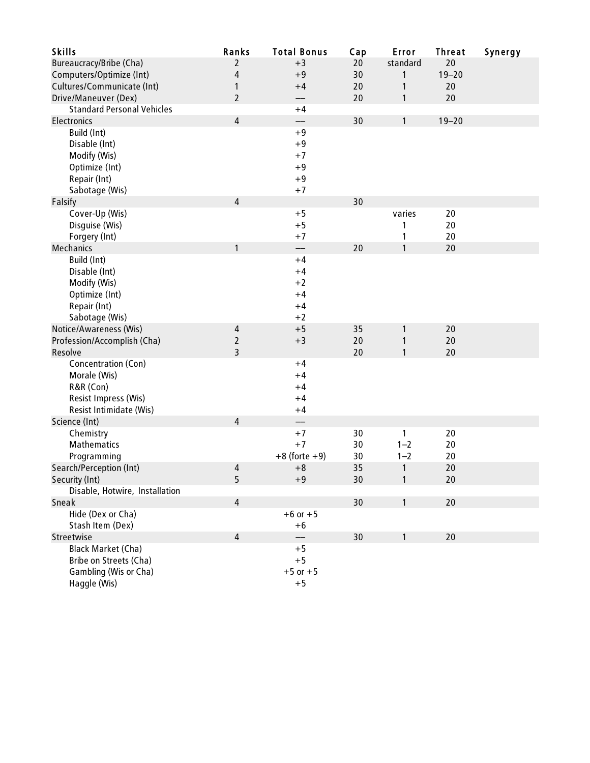| <b>Skills</b>                     | Ranks          | <b>Total Bonus</b> | Cap | Error    | <b>Threat</b> | Synergy |
|-----------------------------------|----------------|--------------------|-----|----------|---------------|---------|
| Bureaucracy/Bribe (Cha)           | 2              | $+3$               | 20  | standard | 20            |         |
| Computers/Optimize (Int)          | 4              | $+9$               | 30  | 1        | $19 - 20$     |         |
| Cultures/Communicate (Int)        | 1              | $+4$               | 20  | 1        | 20            |         |
| Drive/Maneuver (Dex)              | $\overline{2}$ |                    | 20  | 1        | 20            |         |
| <b>Standard Personal Vehicles</b> |                | $+4$               |     |          |               |         |
| Electronics                       | $\overline{4}$ |                    | 30  | 1        | $19 - 20$     |         |
| Build (Int)                       |                | $+9$               |     |          |               |         |
| Disable (Int)                     |                | $+9$               |     |          |               |         |
| Modify (Wis)                      |                | $+7$               |     |          |               |         |
| Optimize (Int)                    |                | $+9$               |     |          |               |         |
| Repair (Int)                      |                | $+9$               |     |          |               |         |
| Sabotage (Wis)                    |                | $+7$               |     |          |               |         |
| Falsify                           | 4              |                    | 30  |          |               |         |
| Cover-Up (Wis)                    |                | $+5$               |     | varies   | 20            |         |
| Disguise (Wis)                    |                | $+5$               |     | 1        | 20            |         |
| Forgery (Int)                     |                | $+7$               |     | 1        | 20            |         |
| Mechanics                         | $\mathbf{1}$   |                    | 20  | 1        | 20            |         |
| Build (Int)                       |                | $+4$               |     |          |               |         |
| Disable (Int)                     |                | $+4$               |     |          |               |         |
| Modify (Wis)                      |                | $+2$               |     |          |               |         |
| Optimize (Int)                    |                | $+4$               |     |          |               |         |
| Repair (Int)                      |                | $+4$               |     |          |               |         |
| Sabotage (Wis)                    |                | $+2$               |     |          |               |         |
| Notice/Awareness (Wis)            | 4              | $+5$               | 35  | 1        | 20            |         |
| Profession/Accomplish (Cha)       | $\overline{2}$ | $+3$               | 20  | 1        | 20            |         |
| Resolve                           | 3              |                    | 20  | 1        | 20            |         |
| Concentration (Con)               |                | $+4$               |     |          |               |         |
| Morale (Wis)                      |                | $+4$               |     |          |               |         |
| R&R (Con)                         |                | $+4$               |     |          |               |         |
| Resist Impress (Wis)              |                | $+4$               |     |          |               |         |
| Resist Intimidate (Wis)           |                | $+4$               |     |          |               |         |
| Science (Int)                     | 4              |                    |     |          |               |         |
| Chemistry                         |                | $+7$               | 30  | 1        | 20            |         |
| Mathematics                       |                | $+7$               | 30  | $1 - 2$  | 20            |         |
| Programming                       |                | $+8$ (forte $+9$ ) | 30  | $1 - 2$  | 20            |         |
| Search/Perception (Int)           | 4              | $+8$               | 35  | 1        | 20            |         |
| Security (Int)                    | 5              | $+9$               | 30  | 1        | 20            |         |
| Disable, Hotwire, Installation    |                |                    |     |          |               |         |
| Sneak                             | $\sqrt{4}$     |                    | 30  | 1        | 20            |         |
| Hide (Dex or Cha)                 |                | $+6$ or $+5$       |     |          |               |         |
| Stash Item (Dex)                  |                | $+6$               |     |          |               |         |
| Streetwise                        | $\overline{4}$ |                    | 30  | 1        | 20            |         |
| <b>Black Market (Cha)</b>         |                | $+5$               |     |          |               |         |
| Bribe on Streets (Cha)            |                | $+5$               |     |          |               |         |
| Gambling (Wis or Cha)             |                | $+5$ or $+5$       |     |          |               |         |
| Haggle (Wis)                      |                | $+5$               |     |          |               |         |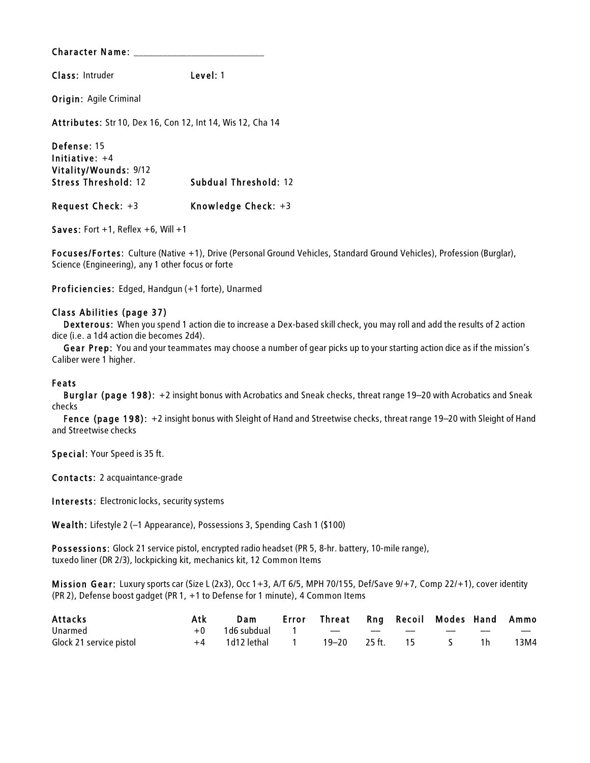Class: Intruder Level: 1

**Origin: Agile Criminal** 

Attributes: Str 10, Dex 16, Con 12, Int 14, Wis 12, Cha 14

Defense: 15 Initiative: +4 Vitality/Wounds: 9/12 Stress Threshold: 12 Subdual Threshold: 12 Request Check: +3 Knowledge Check: +3

Saves: Fort  $+1$ , Reflex  $+6$ , Will  $+1$ 

Focuses/Fortes: Culture (Native +1), Drive (Personal Ground Vehicles, Standard Ground Vehicles), Profession (Burglar), Science (Engineering), any 1 other focus or forte

Proficiencies: Edged, Handgun (+1 forte), Unarmed

#### Class Abilities (page 37)

Dexterous: When you spend 1 action die to increase a Dex-based skill check, you may roll and add the results of 2 action dice (i.e. a 1d4 action die becomes 2d4).

Gear Prep: You and your teammates may choose a number of gear picks up to your starting action dice as if the mission's Caliber were 1 higher.

#### Feats

Burglar (page 198): +2 insight bonus with Acrobatics and Sneak checks, threat range 19–20 with Acrobatics and Sneak checks

Fence (page 198): +2 insight bonus with Sleight of Hand and Streetwise checks, threat range 19–20 with Sleight of Hand and Streetwise checks

Special: Your Speed is 35 ft.

Contacts: 2 acquaintance-grade

Interests: Electronic locks, security systems

Wealth: Lifestyle 2 (–1 Appearance), Possessions 3, Spending Cash 1 (\$100)

Possessions: Glock 21 service pistol, encrypted radio headset (PR 5, 8-hr. battery, 10-mile range), tuxedo liner (DR 2/3), lockpicking kit, mechanics kit, 12 Common Items

Mis sion Gear: Luxury sports car (Size L (2x3), Occ 1+3, A/T 6/5, MPH 70/155, Def/Save 9/+7, Comp 22/+1), cover identity (PR 2), Defense boost gadget (PR 1, +1 to Defense for 1 minute), 4 Common Items

| <b>Attacks</b>          | Atk |                                  | Dam Error Threat Rng Recoil Modes Hand Ammo |  |                                 |      |
|-------------------------|-----|----------------------------------|---------------------------------------------|--|---------------------------------|------|
| Unarmed                 |     | +0 1d6 subdual 1 -- -- --        |                                             |  |                                 | $-$  |
| Glock 21 service pistol |     | +4 1d12 lethal 1 19-20 25 ft. 15 |                                             |  | $\mathcal{S}$ and $\mathcal{S}$ | 13M4 |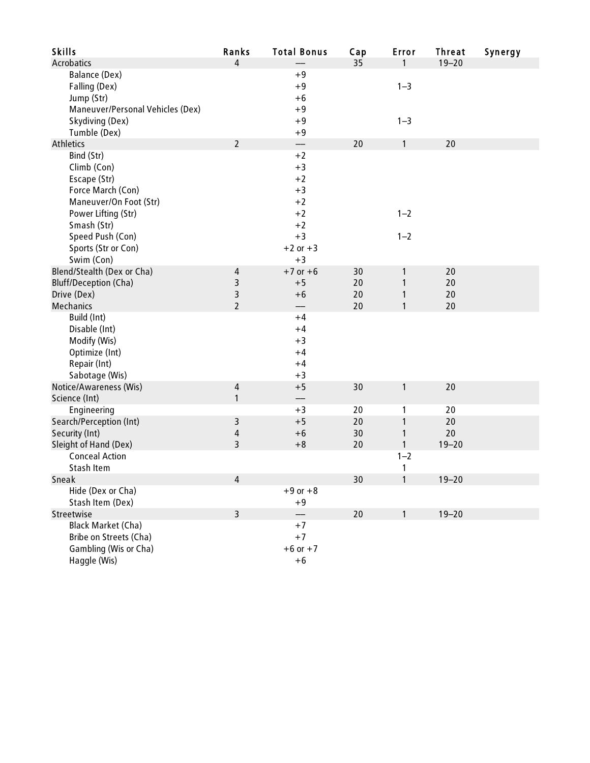| <b>Skills</b>                    | Ranks          | <b>Total Bonus</b> | Cap | Error   | <b>Threat</b> | Synergy |
|----------------------------------|----------------|--------------------|-----|---------|---------------|---------|
| <b>Acrobatics</b>                | 4              |                    | 35  | 1       | $19 - 20$     |         |
| Balance (Dex)                    |                | $+9$               |     |         |               |         |
| Falling (Dex)                    |                | $+9$               |     | $1 - 3$ |               |         |
| Jump (Str)                       |                | $+6$               |     |         |               |         |
| Maneuver/Personal Vehicles (Dex) |                | $+9$               |     |         |               |         |
| Skydiving (Dex)                  |                | $+9$               |     | $1 - 3$ |               |         |
| Tumble (Dex)                     |                | $+9$               |     |         |               |         |
| <b>Athletics</b>                 | $\overline{2}$ | $\qquad \qquad -$  | 20  | 1       | 20            |         |
| Bind (Str)                       |                | $+2$               |     |         |               |         |
| Climb (Con)                      |                | $+3$               |     |         |               |         |
| Escape (Str)                     |                | $+2$               |     |         |               |         |
| Force March (Con)                |                | $+3$               |     |         |               |         |
| Maneuver/On Foot (Str)           |                | $+2$               |     |         |               |         |
| Power Lifting (Str)              |                | $+2$               |     | $1 - 2$ |               |         |
| Smash (Str)                      |                | $+2$               |     |         |               |         |
| Speed Push (Con)                 |                | $+3$               |     | $1 - 2$ |               |         |
| Sports (Str or Con)              |                | $+2$ or $+3$       |     |         |               |         |
| Swim (Con)                       |                | $+3$               |     |         |               |         |
| Blend/Stealth (Dex or Cha)       | 4              | $+7$ or $+6$       | 30  | 1       | 20            |         |
| <b>Bluff/Deception (Cha)</b>     | 3              | $+5$               | 20  | 1       | 20            |         |
| Drive (Dex)                      | 3              | $+6$               | 20  | 1       | 20            |         |
| Mechanics                        | $\overline{2}$ |                    | 20  | 1       | 20            |         |
| Build (Int)                      |                | $+4$               |     |         |               |         |
| Disable (Int)                    |                | $+4$               |     |         |               |         |
| Modify (Wis)                     |                | $+3$               |     |         |               |         |
| Optimize (Int)                   |                | $+4$               |     |         |               |         |
| Repair (Int)                     |                | $+4$               |     |         |               |         |
| Sabotage (Wis)                   |                | $+3$               |     |         |               |         |
| Notice/Awareness (Wis)           | 4              | $+5$               | 30  | 1       | 20            |         |
| Science (Int)                    | 1              |                    |     |         |               |         |
| Engineering                      |                | $+3$               | 20  | 1       | 20            |         |
| Search/Perception (Int)          | 3              | $+5$               | 20  | 1       | 20            |         |
| Security (Int)                   | $\sqrt{4}$     | $+6$               | 30  | 1       | 20            |         |
| Sleight of Hand (Dex)            | 3              | $+8$               | 20  | 1       | $19 - 20$     |         |
| <b>Conceal Action</b>            |                |                    |     | $1 - 2$ |               |         |
| Stash Item                       |                |                    |     | 1       |               |         |
| Sneak                            | $\sqrt{4}$     |                    | 30  |         | $19 - 20$     |         |
| Hide (Dex or Cha)                |                | $+9$ or $+8$       |     |         |               |         |
| Stash Item (Dex)                 |                | $+9$               |     |         |               |         |
| Streetwise                       | $\overline{3}$ |                    | 20  | 1       | $19 - 20$     |         |
| <b>Black Market (Cha)</b>        |                | $+7$               |     |         |               |         |
| Bribe on Streets (Cha)           |                | $+7$               |     |         |               |         |
| Gambling (Wis or Cha)            |                | $+6$ or $+7$       |     |         |               |         |
| Haggle (Wis)                     |                | $+6$               |     |         |               |         |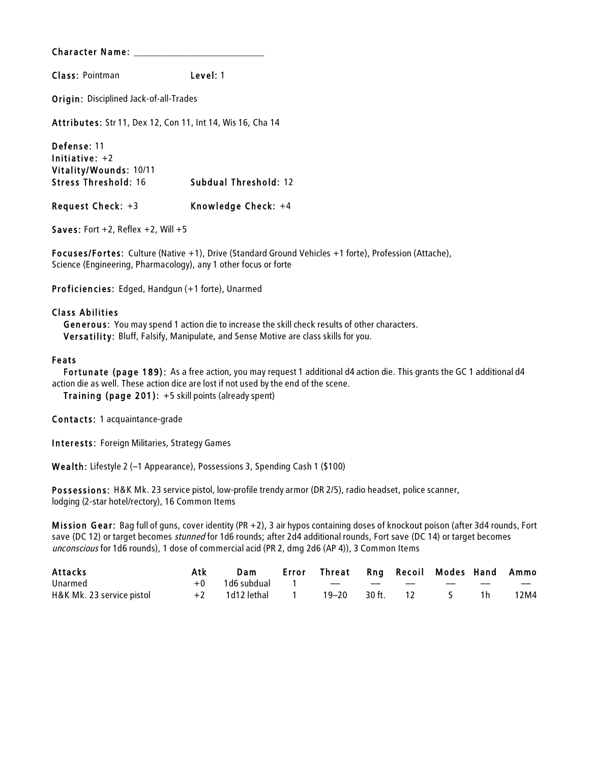Class: Pointman Level: 1

Origin: Disciplined Jack-of-all-Trades

Attributes: Str 11, Dex 12, Con 11, Int 14, Wis 16, Cha 14

Defense: 11 Initiative: +2 Vitality/Wounds: 10/11 Stress Threshold: 16 Subdual Threshold: 12 Request Check: +3 Knowledge Check: +4

Saves: Fort  $+2$ , Reflex  $+2$ , Will  $+5$ 

Focuses/Fortes: Culture (Native +1), Drive (Standard Ground Vehicles +1 forte), Profession (Attache), Science (Engineering, Pharmacology), any 1 other focus or forte

Proficiencies: Edged, Handgun (+1 forte), Unarmed

#### Class Abilities

Generous: You may spend 1 action die to increase the skill check results of other characters. Versatility: Bluff, Falsify, Manipulate, and Sense Motive are class skills for you.

#### Feats

Fortunate (page 189): As a free action, you may request 1 additional d4 action die. This grants the GC 1 additional d4 action die as well. These action dice are lost if not used by the end of the scene.

Training (page 201): +5 skill points (already spent)

Contacts: 1 acquaintance-grade

Interests: Foreign Militaries, Strategy Games

Wealth: Lifestyle 2 (–1 Appearance), Possessions 3, Spending Cash 1 (\$100)

Possessions: H&K Mk. 23 service pistol, low-profile trendy armor (DR 2/5), radio headset, police scanner, lodging (2-star hotel/rectory), 16 Common Items

Mission Gear: Bag full of guns, cover identity (PR  $+2$ ), 3 air hypos containing doses of knockout poison (after 3d4 rounds, Fort save (DC 12) or target becomes *stunned* for 1d6 rounds; after 2d4 additional rounds, Fort save (DC 14) or target becomes unconscious for 1d6 rounds), 1 dose of commercial acid (PR 2, dmg 2d6 (AP 4)), 3 Common Items

| Attacks                   | Atk | Dam                    | Error Threat Rng Recoil Modes Hand Ammo |                   |  |      |
|---------------------------|-----|------------------------|-----------------------------------------|-------------------|--|------|
| Unarmed                   |     | $+0$ 1d6 subdual 1 $-$ |                                         |                   |  | $-$  |
| H&K Mk. 23 service pistol |     | +2 1d12 lethal 1       |                                         | 19–20 30 ft. 12 S |  | 12M4 |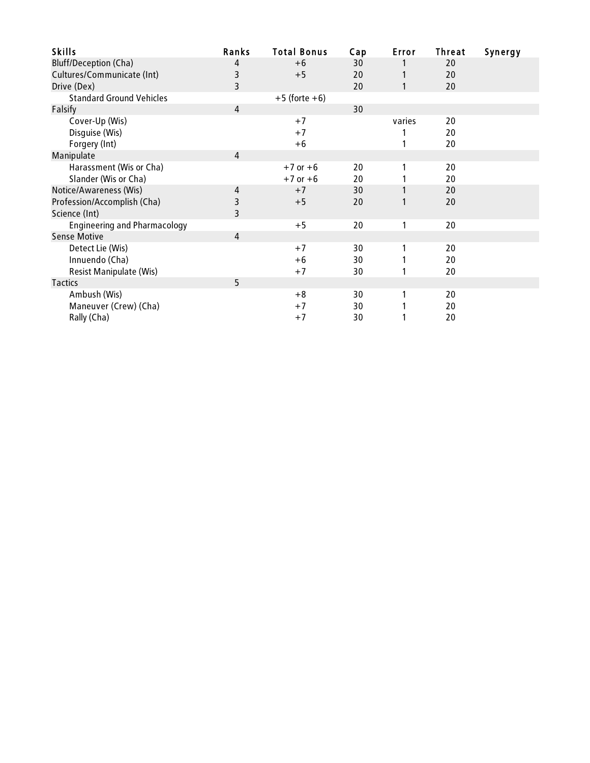| <b>Skills</b>                       | Ranks          | <b>Total Bonus</b> | Cap | Error  | Threat | Synergy |
|-------------------------------------|----------------|--------------------|-----|--------|--------|---------|
| <b>Bluff/Deception (Cha)</b>        | 4              | $+6$               | 30  |        | 20     |         |
| Cultures/Communicate (Int)          | 3              | $+5$               | 20  |        | 20     |         |
| Drive (Dex)                         | 3              |                    | 20  | 1      | 20     |         |
| <b>Standard Ground Vehicles</b>     |                | $+5$ (forte $+6$ ) |     |        |        |         |
| Falsify                             | $\overline{4}$ |                    | 30  |        |        |         |
| Cover-Up (Wis)                      |                | $+7$               |     | varies | 20     |         |
| Disguise (Wis)                      |                | $+7$               |     |        | 20     |         |
| Forgery (Int)                       |                | $+6$               |     |        | 20     |         |
| Manipulate                          | 4              |                    |     |        |        |         |
| Harassment (Wis or Cha)             |                | $+7$ or $+6$       | 20  |        | 20     |         |
| Slander (Wis or Cha)                |                | $+7$ or $+6$       | 20  |        | 20     |         |
| Notice/Awareness (Wis)              | 4              | $+7$               | 30  | 1      | 20     |         |
| Profession/Accomplish (Cha)         | 3              | $+5$               | 20  |        | 20     |         |
| Science (Int)                       | 3              |                    |     |        |        |         |
| <b>Engineering and Pharmacology</b> |                | $+5$               | 20  |        | 20     |         |
| <b>Sense Motive</b>                 | 4              |                    |     |        |        |         |
| Detect Lie (Wis)                    |                | $+7$               | 30  |        | 20     |         |
| Innuendo (Cha)                      |                | $+6$               | 30  |        | 20     |         |
| <b>Resist Manipulate (Wis)</b>      |                | $+7$               | 30  | 1      | 20     |         |
| Tactics                             | 5              |                    |     |        |        |         |
| Ambush (Wis)                        |                | $+8$               | 30  |        | 20     |         |
| Maneuver (Crew) (Cha)               |                | $+7$               | 30  |        | 20     |         |
| Rally (Cha)                         |                | $+7$               | 30  |        | 20     |         |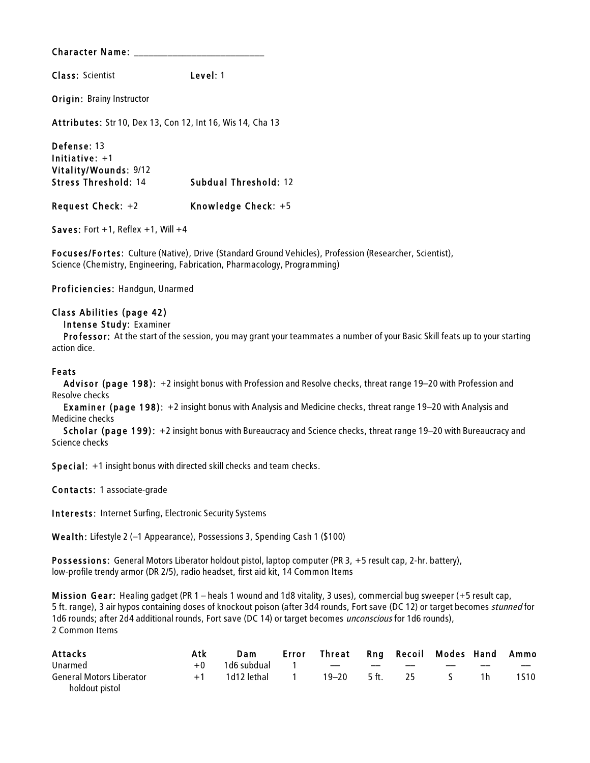Class: Scientist Level: 1

Origin: Brainy Instructor

Attributes: Str 10, Dex 13, Con 12, Int 16, Wis 14, Cha 13

Defense: 13 Initiative: +1 Vitality/Wounds: 9/12 Stress Threshold: 14 Subdual Threshold: 12 Request Check: +2 Knowledge Check: +5

Saves: Fort  $+1$ , Reflex  $+1$ , Will  $+4$ 

Focuses/Fortes: Culture (Native), Drive (Standard Ground Vehicles), Profession (Researcher, Scientist), Science (Chemistry, Engineering, Fabrication, Pharmacology, Programming)

Proficiencies: Handgun, Unarmed

#### Class Abilities (page 42)

Intense Study: Examiner

Professor: At the start of the session, you may grant your teammates a number of your Basic Skill feats up to your starting action dice.

#### Feats

Advisor (page 198): +2 insight bonus with Profession and Resolve checks, threat range 19–20 with Profession and Resolve checks

Examiner (page 198): +2 insight bonus with Analysis and Medicine checks, threat range 19–20 with Analysis and Medicine checks

Scholar (page 199): +2 insight bonus with Bureaucracy and Science checks, threat range 19–20 with Bureaucracy and Science checks

Special: +1 insight bonus with directed skill checks and team checks.

Contacts: 1 associate-grade

Interests: Internet Surfing, Electronic Security Systems

Wealth: Lifestyle 2 (–1 Appearance), Possessions 3, Spending Cash 1 (\$100)

Possessions: General Motors Liberator holdout pistol, laptop computer (PR 3, +5 result cap, 2-hr. battery), low-profile trendy armor (DR 2/5), radio headset, first aid kit, 14 Common Items

Mis sion Gear: Healing gadget (PR 1 – heals 1 wound and 1d8 vitality, 3 uses), commercial bug sweeper (+5 result cap, 5 ft. range), 3 air hypos containing doses of knockout poison (after 3d4 rounds, Fort save (DC 12) or target becomes stunned for 1d6 rounds; after 2d4 additional rounds, Fort save (DC 14) or target becomes *unconscious* for 1d6 rounds), 2 Common Items

| Attacks                         | Atk  | <b>Dam</b>    | Error | Threat Rng Recoil Modes Hand Ammo |       |    |                   |      |
|---------------------------------|------|---------------|-------|-----------------------------------|-------|----|-------------------|------|
| Unarmed                         | $+0$ | 1d6 subdual 1 |       | and the company of the company of | $-\$  |    | $\hspace{0.05cm}$ | $-$  |
| <b>General Motors Liberator</b> | $+1$ | 1d12 lethal 1 |       | 19–20                             | 5 ft. | 25 |                   | 1S10 |
| holdout pistol                  |      |               |       |                                   |       |    |                   |      |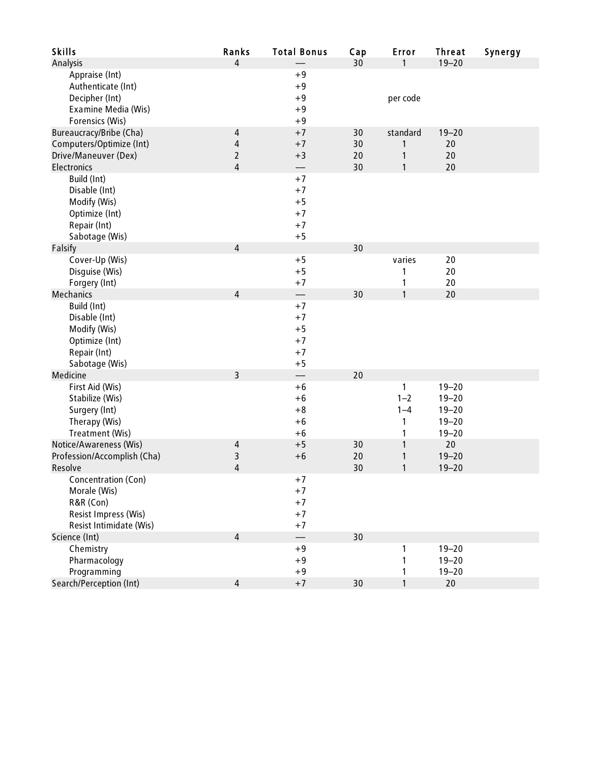| <b>Skills</b>                     | Ranks          | <b>Total Bonus</b>        | Cap | Error             | <b>Threat</b> | Synergy |
|-----------------------------------|----------------|---------------------------|-----|-------------------|---------------|---------|
| Analysis                          | 4              |                           | 30  | 1                 | $19 - 20$     |         |
| Appraise (Int)                    |                | $+9$                      |     |                   |               |         |
| Authenticate (Int)                |                | $+9$                      |     |                   |               |         |
| Decipher (Int)                    |                | $+9$                      |     | per code          |               |         |
| Examine Media (Wis)               |                | $+9$                      |     |                   |               |         |
| Forensics (Wis)                   |                | $+9$                      |     |                   |               |         |
| Bureaucracy/Bribe (Cha)           | 4              | $+7$                      | 30  | standard          | $19 - 20$     |         |
| Computers/Optimize (Int)          | 4              | $+7$                      | 30  | 1                 | 20            |         |
| Drive/Maneuver (Dex)              | $\overline{2}$ | $+3$                      | 20  | $\mathbf{1}$      | 20            |         |
| Electronics                       | 4              | —                         | 30  | $\mathbf{1}$      | 20            |         |
| Build (Int)                       |                | $+7$                      |     |                   |               |         |
| Disable (Int)                     |                | $+7$                      |     |                   |               |         |
| Modify (Wis)                      |                | $+5$                      |     |                   |               |         |
| Optimize (Int)                    |                | $+7$                      |     |                   |               |         |
| Repair (Int)                      |                | $+7$                      |     |                   |               |         |
| Sabotage (Wis)                    |                | $+5$                      |     |                   |               |         |
| Falsify                           | 4              |                           | 30  |                   |               |         |
| Cover-Up (Wis)                    |                | $+5$                      |     | varies            | 20            |         |
| Disguise (Wis)                    |                | $+5$                      |     | 1                 | 20            |         |
| Forgery (Int)<br><b>Mechanics</b> | $\overline{4}$ | $+7$                      | 30  | 1<br>$\mathbf{1}$ | 20<br>20      |         |
| Build (Int)                       |                | $\qquad \qquad -$<br>$+7$ |     |                   |               |         |
| Disable (Int)                     |                | $+7$                      |     |                   |               |         |
| Modify (Wis)                      |                | $+5$                      |     |                   |               |         |
| Optimize (Int)                    |                | $+7$                      |     |                   |               |         |
| Repair (Int)                      |                | $+7$                      |     |                   |               |         |
| Sabotage (Wis)                    |                | $+5$                      |     |                   |               |         |
| Medicine                          | 3              | $\qquad \qquad -$         | 20  |                   |               |         |
| First Aid (Wis)                   |                | $+6$                      |     | 1                 | $19 - 20$     |         |
| Stabilize (Wis)                   |                | $+6$                      |     | $1 - 2$           | $19 - 20$     |         |
| Surgery (Int)                     |                | $+8$                      |     | $1 - 4$           | $19 - 20$     |         |
| Therapy (Wis)                     |                | $+6$                      |     | 1                 | $19 - 20$     |         |
| Treatment (Wis)                   |                | $+6$                      |     | 1                 | $19 - 20$     |         |
| Notice/Awareness (Wis)            | 4              | $+5$                      | 30  | 1                 | 20            |         |
| Profession/Accomplish (Cha)       | 3              | $+6$                      | 20  | 1                 | $19 - 20$     |         |
| Resolve                           | 4              |                           | 30  | 1                 | $19 - 20$     |         |
| Concentration (Con)               |                | $+7$                      |     |                   |               |         |
| Morale (Wis)                      |                | $+7$                      |     |                   |               |         |
| R&R (Con)                         |                | $+7$                      |     |                   |               |         |
| Resist Impress (Wis)              |                | $+7$                      |     |                   |               |         |
| Resist Intimidate (Wis)           |                | $+7$                      |     |                   |               |         |
| Science (Int)                     | $\overline{4}$ | $\qquad \qquad -$         | 30  |                   |               |         |
| Chemistry                         |                | $+9$                      |     | 1                 | $19 - 20$     |         |
| Pharmacology                      |                | $+9$                      |     | 1                 | $19 - 20$     |         |
| Programming                       |                | $+9$                      |     | 1                 | $19 - 20$     |         |
| Search/Perception (Int)           | 4              | $+7$                      | 30  | $\mathbf{1}$      | 20            |         |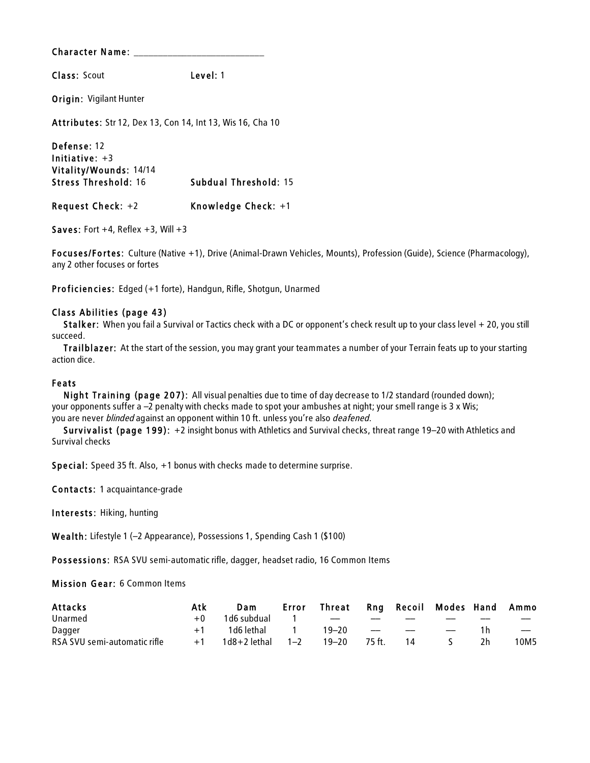Class: Scout Level: 1

Origin: Vigilant Hunter

Attributes: Str 12, Dex 13, Con 14, Int 13, Wis 16, Cha 10

Defense: 12 Initiative: +3 Vitality/Wounds: 14/14 Stress Threshold: 16 Subdual Threshold: 15 Request Check: +2 Knowledge Check: +1

Saves: Fort  $+4$ , Reflex  $+3$ , Will  $+3$ 

Focuses/Fortes: Culture (Native +1), Drive (Animal-Drawn Vehicles, Mounts), Profession (Guide), Science (Pharmacology), any 2 other focuses or fortes

Proficiencies: Edged (+1 forte), Handgun, Rifle, Shotgun, Unarmed

#### Class Abilities (page 43)

Stalker: When you fail a Survival or Tactics check with a DC or opponent's check result up to your class level + 20, you still succeed.

Trailblazer: At the start of the session, you may grant your teammates a number of your Terrain feats up to your starting action dice.

#### Feats

Night Training (page 207): All visual penalties due to time of day decrease to 1/2 standard (rounded down); your opponents suffer a –2 penalty with checks made to spot your ambushes at night; your smell range is 3 x Wis; you are never blinded against an opponent within 10 ft. unless you're also deafened.

Survivalist (page 199): +2 insight bonus with Athletics and Survival checks, threat range 19–20 with Athletics and Survival checks

Special: Speed 35 ft. Also, +1 bonus with checks made to determine surprise.

Contacts: 1 acquaintance-grade

Interests: Hiking, hunting

Wealth: Lifestyle 1 (–2 Appearance), Possessions 1, Spending Cash 1 (\$100)

Possessions: RSA SVU semi-automatic rifle, dagger, headset radio, 16 Common Items

#### Mis sion Gear: 6 Common Items

| <b>Attacks</b>               | Atk  | Dam                       | Error                  | Threat |                                  |    | Rng Recoil Modes Hand Ammo |    |                          |
|------------------------------|------|---------------------------|------------------------|--------|----------------------------------|----|----------------------------|----|--------------------------|
| Unarmed                      | $+0$ | 1d6 subdual               | $\sim$ 1 $\sim$ $\sim$ |        | $-\!$                            |    |                            |    |                          |
| Dagger                       | $+1$ | 1d6 lethal              1 |                        | 19–20  | <b>State Committee Committee</b> |    | $\hspace{0.05cm}$          |    | $\overline{\phantom{a}}$ |
| RSA SVU semi-automatic rifle | $+1$ | 1d8+2 lethal              | $1 - 2$                | 19–20  | 75 ft.                           | 14 |                            | 2h | 10M5                     |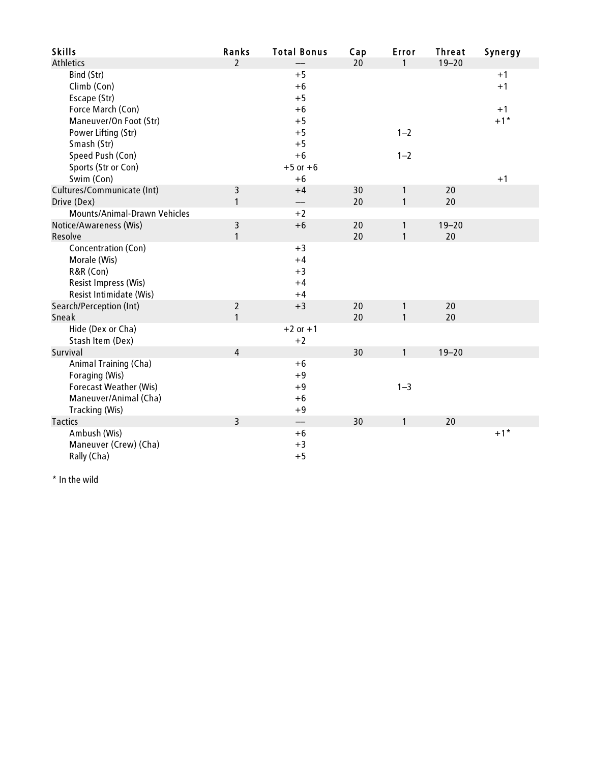| <b>Skills</b>                | Ranks          | <b>Total Bonus</b> | Cap | Error        | <b>Threat</b> | Synergy |
|------------------------------|----------------|--------------------|-----|--------------|---------------|---------|
| <b>Athletics</b>             | $\overline{2}$ |                    | 20  | 1            | $19 - 20$     |         |
| Bind (Str)                   |                | $+5$               |     |              |               | $+1$    |
| Climb (Con)                  |                | $+6$               |     |              |               | $+1$    |
| Escape (Str)                 |                | $+5$               |     |              |               |         |
| Force March (Con)            |                | $+6$               |     |              |               | $+1$    |
| Maneuver/On Foot (Str)       |                | $+5$               |     |              |               | $+1$ *  |
| Power Lifting (Str)          |                | $+5$               |     | $1 - 2$      |               |         |
| Smash (Str)                  |                | $+5$               |     |              |               |         |
| Speed Push (Con)             |                | $+6$               |     | $1 - 2$      |               |         |
| Sports (Str or Con)          |                | $+5$ or $+6$       |     |              |               |         |
| Swim (Con)                   |                | $+6$               |     |              |               | $+1$    |
| Cultures/Communicate (Int)   | 3              | $+4$               | 30  | 1            | 20            |         |
| Drive (Dex)                  | $\mathbf{1}$   | ——                 | 20  | $\mathbf{1}$ | 20            |         |
| Mounts/Animal-Drawn Vehicles |                | $+2$               |     |              |               |         |
| Notice/Awareness (Wis)       | 3              | $+6$               | 20  | 1            | $19 - 20$     |         |
| Resolve                      | $\mathbf{1}$   |                    | 20  | 1            | 20            |         |
| Concentration (Con)          |                | $+3$               |     |              |               |         |
| Morale (Wis)                 |                | $+4$               |     |              |               |         |
| R&R (Con)                    |                | $+3$               |     |              |               |         |
| Resist Impress (Wis)         |                | $+4$               |     |              |               |         |
| Resist Intimidate (Wis)      |                | $+4$               |     |              |               |         |
| Search/Perception (Int)      | $\overline{2}$ | $+3$               | 20  | $\mathbf{1}$ | 20            |         |
| Sneak                        | $\mathbf{1}$   |                    | 20  | $\mathbf{1}$ | 20            |         |
| Hide (Dex or Cha)            |                | $+2$ or $+1$       |     |              |               |         |
| Stash Item (Dex)             |                | $+2$               |     |              |               |         |
| Survival                     | $\overline{4}$ |                    | 30  | 1            | $19 - 20$     |         |
| Animal Training (Cha)        |                | $+6$               |     |              |               |         |
| Foraging (Wis)               |                | $+9$               |     |              |               |         |
| Forecast Weather (Wis)       |                | $+9$               |     | $1 - 3$      |               |         |
| Maneuver/Animal (Cha)        |                | $+6$               |     |              |               |         |
| Tracking (Wis)               |                | $+9$               |     |              |               |         |
| <b>Tactics</b>               | $\overline{3}$ |                    | 30  | 1            | 20            |         |
| Ambush (Wis)                 |                | $+6$               |     |              |               | $+1$ *  |
| Maneuver (Crew) (Cha)        |                | $+3$               |     |              |               |         |
| Rally (Cha)                  |                | $+5$               |     |              |               |         |

\* In the wild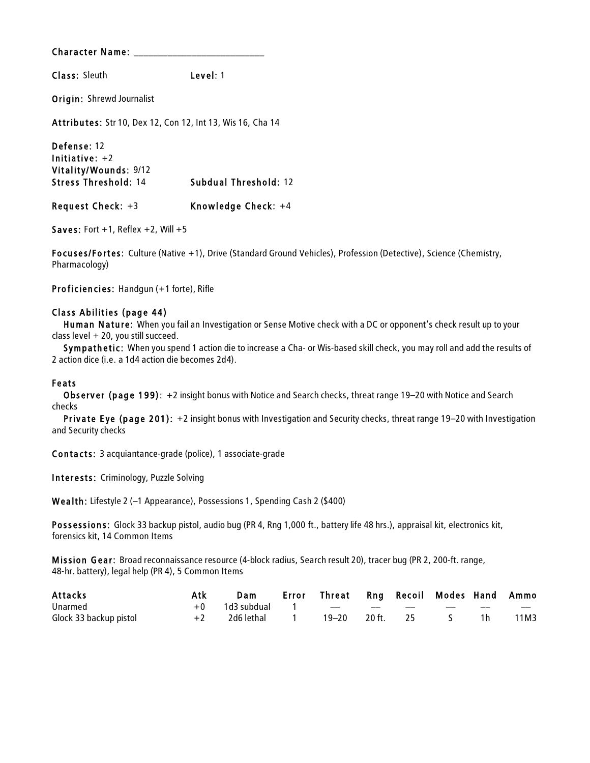Class: Sleuth Level: 1

Origin: Shrewd Journalist

Attributes: Str 10, Dex 12, Con 12, Int 13, Wis 16, Cha 14

Defense: 12 Initiative: +2 Vitality/Wounds: 9/12 Stress Threshold: 14 Subdual Threshold: 12 Request Check: +3 Knowledge Check: +4

Saves: Fort  $+1$ , Reflex  $+2$ , Will  $+5$ 

Focuses/Fortes: Culture (Native +1), Drive (Standard Ground Vehicles), Profession (Detective), Science (Chemistry, Pharmacology)

Proficiencies: Handgun (+1 forte), Rifle

#### Class Abilities (page 44)

Human Nature: When you fail an Investigation or Sense Motive check with a DC or opponent's check result up to your class level + 20, you still succeed.

Sympathetic: When you spend 1 action die to increase a Cha- or Wis-based skill check, you may roll and add the results of 2 action dice (i.e. a 1d4 action die becomes 2d4).

#### Feats

Observer (page 199): +2 insight bonus with Notice and Search checks, threat range 19–20 with Notice and Search checks

Private Eye (page 201): +2 insight bonus with Investigation and Security checks, threat range 19–20 with Investigation and Security checks

Contacts: 3 acquiantance-grade (police), 1 associate-grade

Interests: Criminology, Puzzle Solving

Wealth: Lifestyle 2 (–1 Appearance), Possessions 1, Spending Cash 2 (\$400)

Possessions: Glock 33 backup pistol, audio bug (PR 4, Rng 1,000 ft., battery life 48 hrs.), appraisal kit, electronics kit, forensics kit, 14 Common Items

Mis sion Gear: Broad reconnaissance resource (4-block radius, Search result 20), tracer bug (PR 2, 200-ft. range, 48-hr. battery), legal help (PR 4), 5 Common Items

| Attacks                | Atk  | Dam                    | Error Threat Rng Recoil Modes Hand Ammo |  |  |      |
|------------------------|------|------------------------|-----------------------------------------|--|--|------|
| Unarmed                |      | $+0$ 1d3 subdual 1 $-$ |                                         |  |  | $-$  |
| Glock 33 backup pistol | $+2$ |                        | 19–20 20 ft. 25                         |  |  | 11M3 |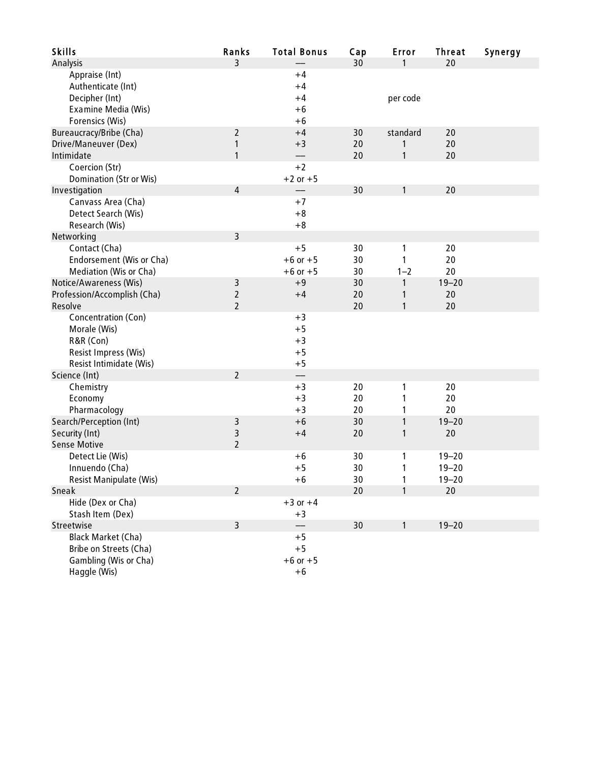| <b>Skills</b>                  | Ranks          | <b>Total Bonus</b> | Cap | Error    | <b>Threat</b> | Synergy |
|--------------------------------|----------------|--------------------|-----|----------|---------------|---------|
| Analysis                       | $\overline{3}$ |                    | 30  | 1        | 20            |         |
| Appraise (Int)                 |                | $+4$               |     |          |               |         |
| Authenticate (Int)             |                | $+4$               |     |          |               |         |
| Decipher (Int)                 |                | $+4$               |     | per code |               |         |
| Examine Media (Wis)            |                | $+6$               |     |          |               |         |
| Forensics (Wis)                |                | $+6$               |     |          |               |         |
| Bureaucracy/Bribe (Cha)        | $\overline{2}$ | $+4$               | 30  | standard | 20            |         |
| Drive/Maneuver (Dex)           | 1              | $+3$               | 20  | 1        | 20            |         |
| Intimidate                     | 1              |                    | 20  | 1        | 20            |         |
| Coercion (Str)                 |                | $+2$               |     |          |               |         |
| <b>Domination (Str or Wis)</b> |                | $+2$ or $+5$       |     |          |               |         |
| Investigation                  | 4              |                    | 30  | 1        | 20            |         |
| Canvass Area (Cha)             |                | $+7$               |     |          |               |         |
| Detect Search (Wis)            |                | $+8$               |     |          |               |         |
| Research (Wis)                 |                | $+8$               |     |          |               |         |
| Networking                     | $\overline{3}$ |                    |     |          |               |         |
| Contact (Cha)                  |                | $+5$               | 30  | 1        | 20            |         |
| Endorsement (Wis or Cha)       |                | $+6$ or $+5$       | 30  | 1        | 20            |         |
| Mediation (Wis or Cha)         |                | $+6$ or $+5$       | 30  | $1 - 2$  | 20            |         |
| Notice/Awareness (Wis)         | 3              | $+9$               | 30  | 1        | $19 - 20$     |         |
| Profession/Accomplish (Cha)    | $\overline{2}$ | $+4$               | 20  | 1        | 20            |         |
| Resolve                        | $\overline{2}$ |                    | 20  | 1        | 20            |         |
| Concentration (Con)            |                | $+3$               |     |          |               |         |
| Morale (Wis)                   |                | $+5$               |     |          |               |         |
| R&R (Con)                      |                | $+3$               |     |          |               |         |
| Resist Impress (Wis)           |                | $+5$               |     |          |               |         |
| Resist Intimidate (Wis)        |                | $+5$               |     |          |               |         |
| Science (Int)                  | $\overline{2}$ | --                 |     |          |               |         |
| Chemistry                      |                | $+3$               | 20  | 1        | 20            |         |
| Economy                        |                | $+3$               | 20  | 1        | 20            |         |
| Pharmacology                   |                | $+3$               | 20  | 1        | 20            |         |
| Search/Perception (Int)        | 3              | $+6$               | 30  | 1        | $19 - 20$     |         |
| Security (Int)                 | 3              | $+4$               | 20  | 1        | 20            |         |
| <b>Sense Motive</b>            | $\overline{2}$ |                    |     |          |               |         |
| Detect Lie (Wis)               |                | $+6$               | 30  | 1        | $19 - 20$     |         |
| Innuendo (Cha)                 |                | $+5$               | 30  | 1        | $19 - 20$     |         |
| Resist Manipulate (Wis)        |                | +6                 | 30  | 1        | $19 - 20$     |         |
| Sneak                          | $\overline{2}$ |                    | 20  | 1        | 20            |         |
| Hide (Dex or Cha)              |                | $+3$ or $+4$       |     |          |               |         |
| Stash Item (Dex)               |                | $+3$               |     |          |               |         |
| Streetwise                     | $\overline{3}$ |                    | 30  | 1        | $19 - 20$     |         |
| Black Market (Cha)             |                | $+5$               |     |          |               |         |
| Bribe on Streets (Cha)         |                | $+5$               |     |          |               |         |
| Gambling (Wis or Cha)          |                | $+6$ or $+5$       |     |          |               |         |
| Haggle (Wis)                   |                | $+6$               |     |          |               |         |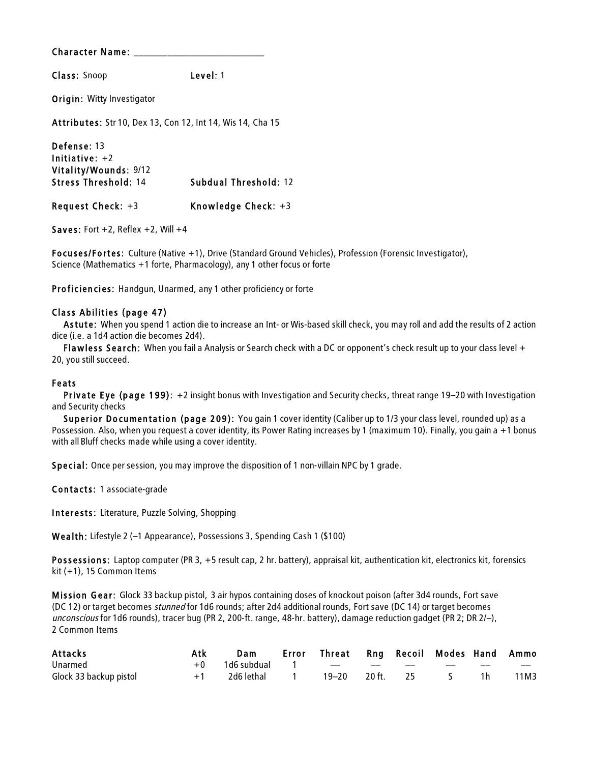Class: Snoop Level: 1

Origin: Witty Investigator

Attributes: Str 10, Dex 13, Con 12, Int 14, Wis 14, Cha 15

Defense: 13 Initiative: +2 Vitality/Wounds: 9/12 Stress Threshold: 14 Subdual Threshold: 12 Request Check: +3 Knowledge Check: +3

Saves: Fort  $+2$ , Reflex  $+2$ , Will  $+4$ 

Focuses/Fortes: Culture (Native +1), Drive (Standard Ground Vehicles), Profession (Forensic Investigator), Science (Mathematics +1 forte, Pharmacology), any 1 other focus or forte

Proficiencies: Handgun, Unarmed, any 1 other proficiency or forte

#### Class Abilities (page 47)

As tute: When you spend 1 action die to increase an Int- or Wis-based skill check, you may roll and add the results of 2 action dice (i.e. a 1d4 action die becomes 2d4).

Flawless Search: When you fail a Analysis or Search check with a DC or opponent's check result up to your class level + 20, you still succeed.

#### Feats

Private Eye (page 199): +2 insight bonus with Investigation and Security checks, threat range 19–20 with Investigation and Security checks

Superior Documentation (page 209): You gain 1 cover identity (Caliber up to 1/3 your class level, rounded up) as a Possession. Also, when you request a cover identity, its Power Rating increases by 1 (maximum 10). Finally, you gain a +1 bonus with all Bluff checks made while using a cover identity.

Special: Once per session, you may improve the disposition of 1 non-villain NPC by 1 grade.

Contacts: 1 associate-grade

Interests: Literature, Puzzle Solving, Shopping

Wealth: Lifestyle 2 (–1 Appearance), Possessions 3, Spending Cash 1 (\$100)

Possessions: Laptop computer (PR 3, +5 result cap, 2 hr. battery), appraisal kit, authentication kit, electronics kit, forensics kit (+1), 15 Common Items

Mis sion Gear: Glock 33 backup pistol,3 air hypos containing doses of knockout poison (after 3d4 rounds, Fort save (DC 12) or target becomes stunned for 1d6 rounds; after 2d4 additional rounds, Fort save (DC 14) or target becomes unconscious for 1d6 rounds), tracer bug (PR 2, 200-ft. range, 48-hr. battery), damage reduction gadget (PR 2; DR 2/–), 2 Common Items

| <b>Attacks</b>         | Atk | Dam                       | Error Threat Rng Recoil Modes Hand Ammo |  |     |     |      |
|------------------------|-----|---------------------------|-----------------------------------------|--|-----|-----|------|
| Unarmed                |     | +0 1d6 subdual 1 -- -- -- |                                         |  | $-$ | $-$ | $-$  |
| Glock 33 backup pistol |     |                           | 19–20 20 ft. 25                         |  |     |     | 11M3 |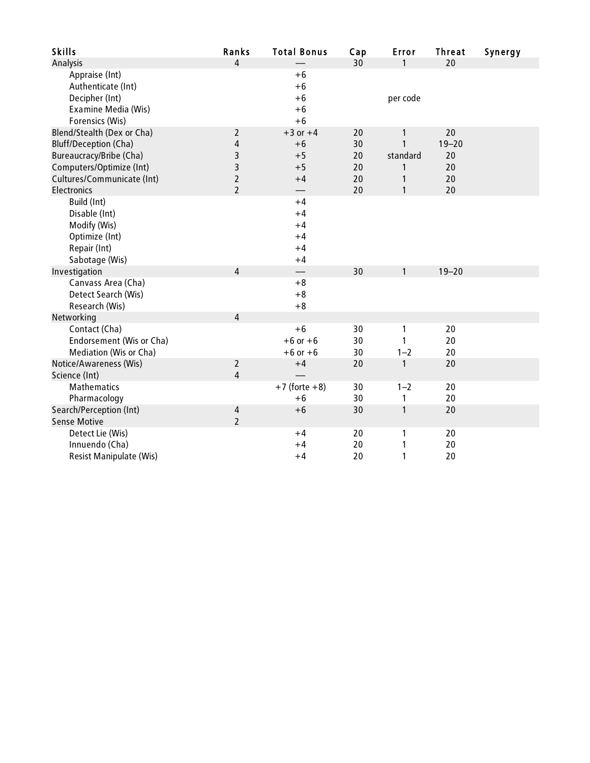| <b>Skills</b>                | Ranks                  | <b>Total Bonus</b>       | Cap | Error        | <b>Threat</b> | Synergy |
|------------------------------|------------------------|--------------------------|-----|--------------|---------------|---------|
| Analysis                     | $\boldsymbol{\Lambda}$ |                          | 30  | 1            | 20            |         |
| Appraise (Int)               |                        | $+6$                     |     |              |               |         |
| Authenticate (Int)           |                        | $+6$                     |     |              |               |         |
| Decipher (Int)               |                        | $+6$                     |     | per code     |               |         |
| Examine Media (Wis)          |                        | $+6$                     |     |              |               |         |
| Forensics (Wis)              |                        | $+6$                     |     |              |               |         |
| Blend/Stealth (Dex or Cha)   | 2                      | $+3$ or $+4$             | 20  | 1            | 20            |         |
| <b>Bluff/Deception (Cha)</b> | $\sqrt{4}$             | $+6$                     | 30  | $\mathbf{1}$ | $19 - 20$     |         |
| Bureaucracy/Bribe (Cha)      | 3                      | $+5$                     | 20  | standard     | 20            |         |
| Computers/Optimize (Int)     | 3                      | $+5$                     | 20  | 1            | 20            |         |
| Cultures/Communicate (Int)   | $\overline{2}$         | $+4$                     | 20  | 1            | 20            |         |
| Electronics                  | $\overline{2}$         |                          | 20  | $\mathbf{1}$ | 20            |         |
| Build (Int)                  |                        | $+4$                     |     |              |               |         |
| Disable (Int)                |                        | $+4$                     |     |              |               |         |
| Modify (Wis)                 |                        | $+4$                     |     |              |               |         |
| Optimize (Int)               |                        | $+4$                     |     |              |               |         |
| Repair (Int)                 |                        | $+4$                     |     |              |               |         |
| Sabotage (Wis)               |                        | $+4$                     |     |              |               |         |
| Investigation                | $\overline{4}$         | $\overline{\phantom{0}}$ | 30  | 1            | $19 - 20$     |         |
| Canvass Area (Cha)           |                        | $+8$                     |     |              |               |         |
| Detect Search (Wis)          |                        | $+8$                     |     |              |               |         |
| Research (Wis)               |                        | $+8$                     |     |              |               |         |
| Networking                   | $\overline{4}$         |                          |     |              |               |         |
| Contact (Cha)                |                        | $+6$                     | 30  | $\mathbf{1}$ | 20            |         |
| Endorsement (Wis or Cha)     |                        | $+6$ or $+6$             | 30  | 1            | 20            |         |
| Mediation (Wis or Cha)       |                        | $+6$ or $+6$             | 30  | $1 - 2$      | 20            |         |
| Notice/Awareness (Wis)       | $\overline{2}$         | $+4$                     | 20  | 1            | 20            |         |
| Science (Int)                | $\overline{4}$         |                          |     |              |               |         |
| <b>Mathematics</b>           |                        | $+7$ (forte $+8$ )       | 30  | $1 - 2$      | 20            |         |
| Pharmacology                 |                        | $+6$                     | 30  | 1            | 20            |         |
| Search/Perception (Int)      | 4                      | $+6$                     | 30  | 1            | 20            |         |
| <b>Sense Motive</b>          | $\overline{2}$         |                          |     |              |               |         |
| Detect Lie (Wis)             |                        | $+4$                     | 20  | 1            | 20            |         |
| Innuendo (Cha)               |                        | $+4$                     | 20  | 1            | 20            |         |
| Resist Manipulate (Wis)      |                        | $+4$                     | 20  | 1            | 20            |         |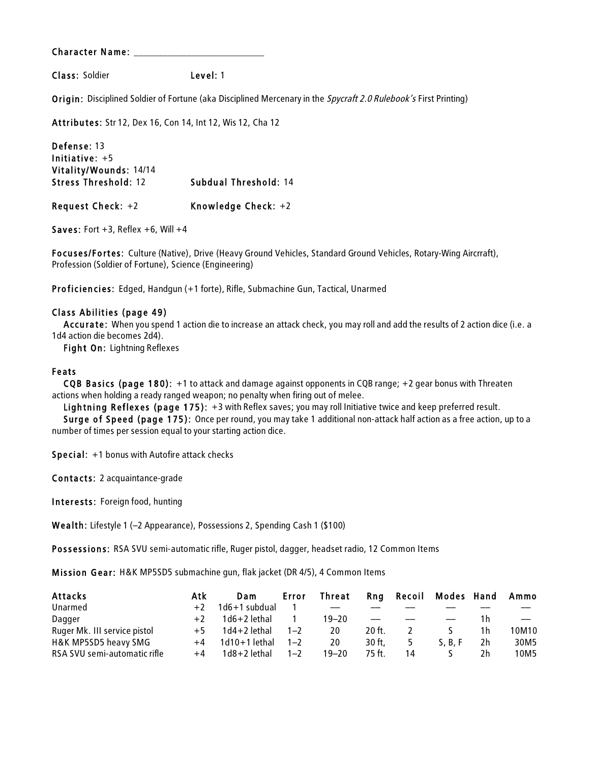Class: Soldier Level: 1

Origin: Disciplined Soldier of Fortune (aka Disciplined Mercenary in the Spycraft 2.0 Rulebook's First Printing)

Attributes: Str 12, Dex 16, Con 14, Int 12, Wis 12, Cha 12

Defense: 13 Initiative: +5 Vitality/Wounds: 14/14 Stress Threshold: 12 Subdual Threshold: 14 Request Check: +2 Knowledge Check: +2

Saves: Fort  $+3$ , Reflex  $+6$ , Will  $+4$ 

Focuses/Fortes: Culture (Native), Drive (Heavy Ground Vehicles, Standard Ground Vehicles, Rotary-Wing Aircrraft), Profession (Soldier of Fortune), Science (Engineering)

Proficiencies: Edged, Handgun (+1 forte), Rifle, Submachine Gun, Tactical, Unarmed

#### Class Abilities (page 49)

Accurate: When you spend 1 action die to increase an attack check, you may roll and add the results of 2 action dice (i.e. a 1d4 action die becomes 2d4).

Fight On: Lightning Reflexes

#### Feats

CQB Basics (page 180): +1 to attack and damage against opponents in CQB range; +2 gear bonus with Threaten actions when holding a ready ranged weapon; no penalty when firing out of melee.

Lightning Reflexes (page 175): +3 with Reflex saves; you may roll Initiative twice and keep preferred result.

Surge of Speed (page 175): Once per round, you may take 1 additional non-attack half action as a free action, up to a number of times per session equal to your starting action dice.

Special: +1 bonus with Autofire attack checks

Contacts: 2 acquaintance-grade

Interests: Foreign food, hunting

Wealth: Lifestyle 1 (–2 Appearance), Possessions 2, Spending Cash 1 (\$100)

Possessions: RSA SVU semi-automatic rifle, Ruger pistol, dagger, headset radio, 12 Common Items

Mis sion Gear: H&K MP5SD5 submachine gun, flak jacket (DR 4/5), 4 Common Items

| <b>Attacks</b>               | Atk  | Dam             | Error   | Threat    |                   | Rng Recoil | <b>Modes Hand</b> |    | Ammo  |
|------------------------------|------|-----------------|---------|-----------|-------------------|------------|-------------------|----|-------|
| Unarmed                      | $+2$ | 1d6+1 subdual   |         |           |                   |            |                   |    |       |
| Dagger                       | $+2$ | $1d6+2$ lethal  |         | $19 - 20$ | $\qquad \qquad -$ |            |                   | 1h |       |
| Ruger Mk. III service pistol | $+5$ | $1d4+2$ lethal  | $1 - 2$ | 20        | $20$ ft.          |            |                   | 1h | 10M10 |
| H&K MP5SD5 heavy SMG         | $+4$ | $1d10+1$ lethal | $1 - 2$ | 20        | 30 ft.            |            | S. B. F           | 2h | 30M5  |
| RSA SVU semi-automatic rifle | $+4$ | $1d8+2$ lethal  | $1 - 2$ | 19–20     | 75 ft.            | 14         |                   | 2h | 10M5  |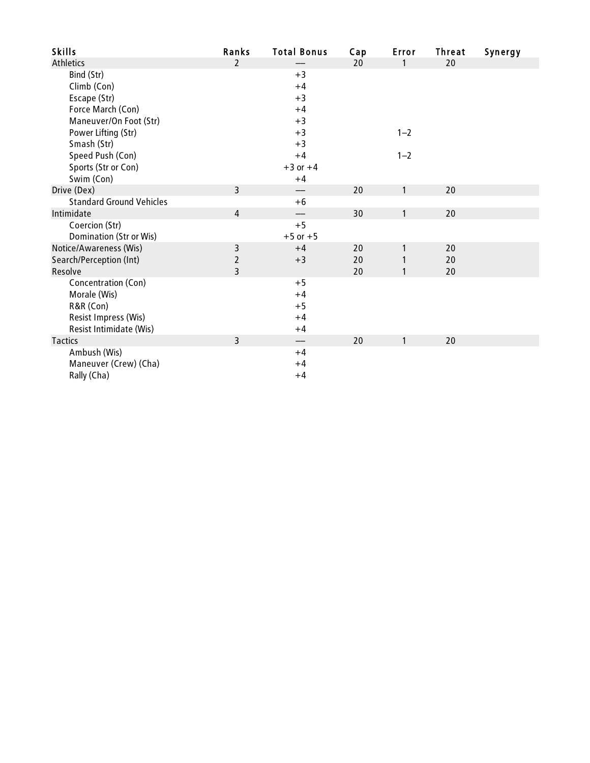| <b>Skills</b>                   | Ranks          | <b>Total Bonus</b> | Cap | Error        | <b>Threat</b> | Synergy |
|---------------------------------|----------------|--------------------|-----|--------------|---------------|---------|
| <b>Athletics</b>                | $\overline{2}$ |                    | 20  | $\mathbf{1}$ | 20            |         |
| Bind (Str)                      |                | $+3$               |     |              |               |         |
| Climb (Con)                     |                | $+4$               |     |              |               |         |
| Escape (Str)                    |                | $+3$               |     |              |               |         |
| Force March (Con)               |                | $+4$               |     |              |               |         |
| Maneuver/On Foot (Str)          |                | $+3$               |     |              |               |         |
| Power Lifting (Str)             |                | $+3$               |     | $1 - 2$      |               |         |
| Smash (Str)                     |                | $+3$               |     |              |               |         |
| Speed Push (Con)                |                | $+4$               |     | $1 - 2$      |               |         |
| Sports (Str or Con)             |                | $+3$ or $+4$       |     |              |               |         |
| Swim (Con)                      |                | $+4$               |     |              |               |         |
| Drive (Dex)                     | $\overline{3}$ |                    | 20  | $\mathbf{1}$ | 20            |         |
| <b>Standard Ground Vehicles</b> |                | $+6$               |     |              |               |         |
| Intimidate                      | $\overline{4}$ |                    | 30  | 1            | 20            |         |
| Coercion (Str)                  |                | $+5$               |     |              |               |         |
| <b>Domination (Str or Wis)</b>  |                | $+5$ or $+5$       |     |              |               |         |
| Notice/Awareness (Wis)          | 3              | $+4$               | 20  | 1            | 20            |         |
| Search/Perception (Int)         | $\overline{2}$ | $+3$               | 20  | 1            | 20            |         |
| Resolve                         | $\overline{3}$ |                    | 20  | $\mathbf{1}$ | 20            |         |
| Concentration (Con)             |                | $+5$               |     |              |               |         |
| Morale (Wis)                    |                | $+4$               |     |              |               |         |
| R&R (Con)                       |                | $+5$               |     |              |               |         |
| Resist Impress (Wis)            |                | $+4$               |     |              |               |         |
| Resist Intimidate (Wis)         |                | $+4$               |     |              |               |         |
| <b>Tactics</b>                  | $\overline{3}$ |                    | 20  | 1            | 20            |         |
| Ambush (Wis)                    |                | $+4$               |     |              |               |         |
| Maneuver (Crew) (Cha)           |                | $+4$               |     |              |               |         |
| Rally (Cha)                     |                | $+4$               |     |              |               |         |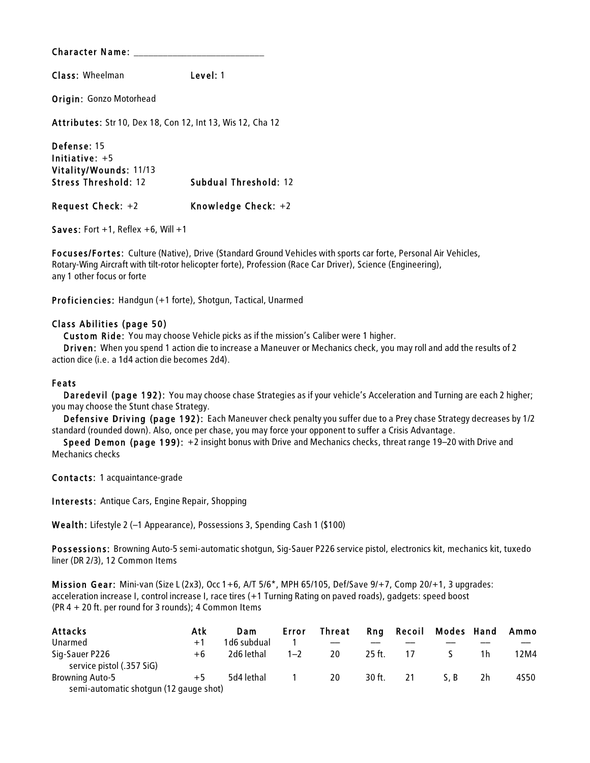Class: Wheelman Level: 1

Origin: Gonzo Motorhead

Attributes: Str 10, Dex 18, Con 12, Int 13, Wis 12, Cha 12

Defense: 15 Initiative: +5 Vitality/Wounds: 11/13 Stress Threshold: 12 Subdual Threshold: 12 Request Check: +2 Knowledge Check: +2

Saves: Fort  $+1$ , Reflex  $+6$ , Will  $+1$ 

Focuses/Fortes: Culture (Native), Drive (Standard Ground Vehicles with sports car forte, Personal Air Vehicles, Rotary-Wing Aircraft with tilt-rotor helicopter forte), Profession (Race Car Driver), Science (Engineering), any 1 other focus or forte

Proficiencies: Handgun (+1 forte), Shotgun, Tactical, Unarmed

#### Class Abilities (page 50)

Custom Ride: You may choose Vehicle picks as if the mission's Caliber were 1 higher.

Driven: When you spend 1 action die to increase a Maneuver or Mechanics check, you may roll and add the results of 2 action dice (i.e. a 1d4 action die becomes 2d4).

#### Feats

Daredevil (page 192): You may choose chase Strategies as if your vehicle's Acceleration and Turning are each 2 higher; you may choose the Stunt chase Strategy.

Defensive Driving (page 192): Each Maneuver check penalty you suffer due to a Prey chase Strategy decreases by 1/2 standard (rounded down). Also, once per chase, you may force your opponent to suffer a Crisis Advantage.

Speed Demon (page 199): +2 insight bonus with Drive and Mechanics checks, threat range 19–20 with Drive and Mechanics checks

Contacts: 1 acquaintance-grade

Interests: Antique Cars, Engine Repair, Shopping

Wealth: Lifestyle 2 (–1 Appearance), Possessions 3, Spending Cash 1 (\$100)

Possessions: Browning Auto-5 semi-automatic shotgun, Sig-Sauer P226 service pistol, electronics kit, mechanics kit, tuxedo liner (DR 2/3), 12 Common Items

Mis sion Gear: Mini-van (Size L (2x3), Occ 1+6, A/T 5/6\*, MPH 65/105, Def/Save 9/+7, Comp 20/+1, 3 upgrades: acceleration increase I, control increase I, race tires (+1 Turning Rating on paved roads), gadgets: speed boost (PR 4 + 20 ft. per round for 3 rounds); 4 Common Items

| Attacks                                     | Atk  | Dam         | Error   | Threat |          |    | <b>Rng Recoil Modes Hand</b> |    | Ammo |
|---------------------------------------------|------|-------------|---------|--------|----------|----|------------------------------|----|------|
| Unarmed                                     | $+1$ | 1d6 subdual |         | $-$    |          |    |                              |    |      |
| Sig-Sauer P226<br>service pistol (.357 SiG) | +6   | 2d6 lethal  | $1 - 2$ | 20     | $25$ ft. |    |                              | 1h | 12M4 |
| <b>Browning Auto-5</b>                      | $+5$ | 5d4 lethal  |         | -20    | 30 ft.   | 21 | S.B                          | 2h | 4S50 |
| semi-automatic shotgun (12 gauge shot)      |      |             |         |        |          |    |                              |    |      |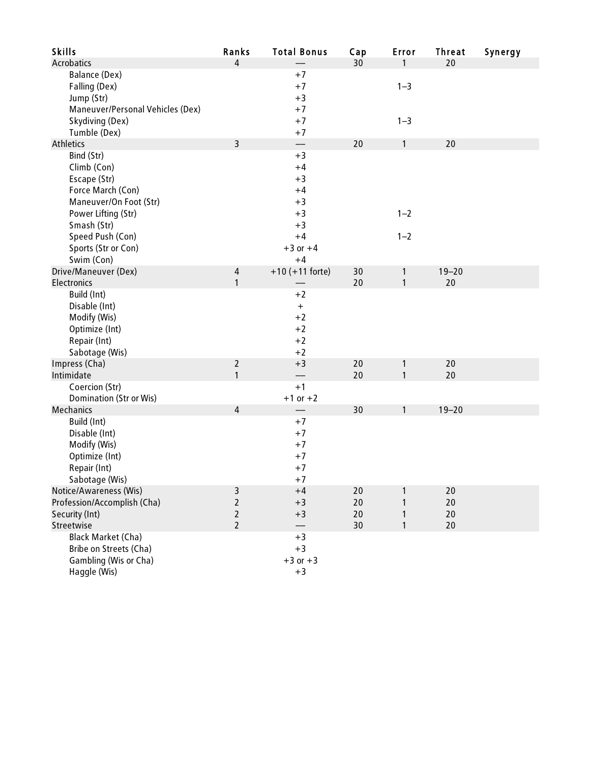| <b>Skills</b>                                                                                    | Ranks                                                   | <b>Total Bonus</b>                                       | Cap                  | Error                        | <b>Threat</b>        | Synergy |
|--------------------------------------------------------------------------------------------------|---------------------------------------------------------|----------------------------------------------------------|----------------------|------------------------------|----------------------|---------|
| <b>Acrobatics</b>                                                                                | $\overline{4}$                                          |                                                          | 30                   | $\mathbf{1}$                 | 20                   |         |
| Balance (Dex)<br>Falling (Dex)<br>Jump (Str)<br>Maneuver/Personal Vehicles (Dex)                 |                                                         | $+7$<br>$+7$<br>$+3$<br>$+7$                             |                      | $1 - 3$                      |                      |         |
| Skydiving (Dex)<br>Tumble (Dex)                                                                  |                                                         | $+7$<br>$+7$                                             |                      | $1 - 3$                      |                      |         |
| <b>Athletics</b>                                                                                 | $\overline{3}$                                          |                                                          | 20                   | $\mathbf{1}$                 | 20                   |         |
| Bind (Str)<br>Climb (Con)<br>Escape (Str)<br>Force March (Con)<br>Maneuver/On Foot (Str)         |                                                         | $+3$<br>$+4$<br>$+3$<br>$+4$<br>$+3$                     |                      |                              |                      |         |
| Power Lifting (Str)<br>Smash (Str)                                                               |                                                         | $+3$<br>$+3$                                             |                      | $1 - 2$                      |                      |         |
| Speed Push (Con)<br>Sports (Str or Con)<br>Swim (Con)                                            |                                                         | $+4$<br>$+3$ or $+4$<br>$+4$                             |                      | $1 - 2$                      |                      |         |
| Drive/Maneuver (Dex)<br>Electronics                                                              | $\overline{4}$<br>1                                     | $+10 (+11$ forte)                                        | 30<br>20             | $\mathbf{1}$<br>$\mathbf{1}$ | $19 - 20$<br>20      |         |
| Build (Int)<br>Disable (Int)<br>Modify (Wis)<br>Optimize (Int)<br>Repair (Int)<br>Sabotage (Wis) |                                                         | $+2$<br>$\boldsymbol{+}$<br>$+2$<br>$+2$<br>$+2$<br>$+2$ |                      |                              |                      |         |
| Impress (Cha)<br>Intimidate                                                                      | $\overline{2}$<br>1                                     | $+3$                                                     | 20<br>20             | $\mathbf{1}$<br>1            | 20<br>20             |         |
| Coercion (Str)<br>Domination (Str or Wis)                                                        |                                                         | $+1$<br>$+1$ or $+2$                                     |                      |                              |                      |         |
| <b>Mechanics</b>                                                                                 | $\overline{4}$                                          |                                                          | 30                   | 1                            | $19 - 20$            |         |
| Build (Int)<br>Disable (Int)<br>Modify (Wis)<br>Optimize (Int)<br>Repair (Int)<br>Sabotage (Wis) |                                                         | $+7$<br>$+7$<br>$+7$<br>$+7$<br>$+7$<br>$+7$             |                      |                              |                      |         |
| Notice/Awareness (Wis)<br>Profession/Accomplish (Cha)<br>Security (Int)<br>Streetwise            | 3<br>$\overline{2}$<br>$\overline{2}$<br>$\overline{2}$ | $+4$<br>$+3$<br>$+3$                                     | 20<br>20<br>20<br>30 | 1<br>1<br>1<br>1             | 20<br>20<br>20<br>20 |         |
| Black Market (Cha)<br>Bribe on Streets (Cha)<br>Gambling (Wis or Cha)<br>Haggle (Wis)            |                                                         | $+3$<br>$+3$<br>$+3$ or $+3$<br>$+3$                     |                      |                              |                      |         |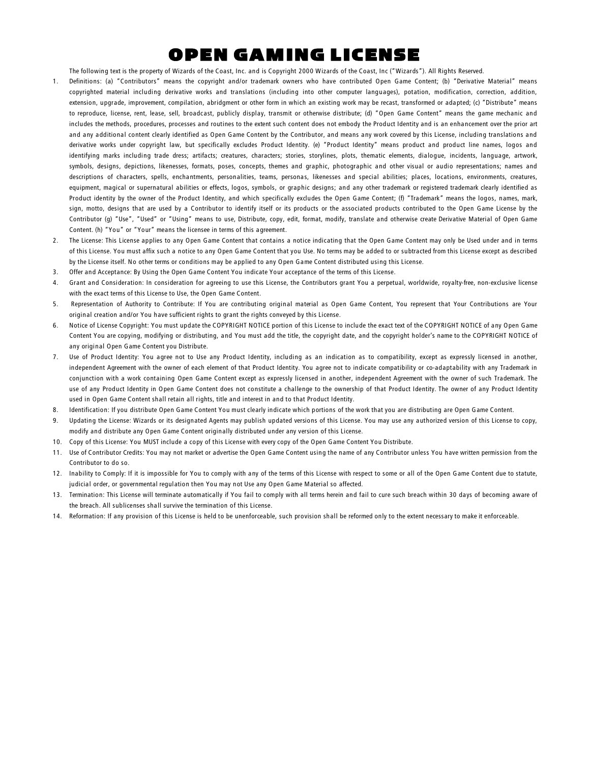## OPEN GAMING LICENSE

The following text is the property of Wizards of the Coast, Inc. and is Copyright 2000 Wizards of the Coast, Inc ("Wizards"). All Rights Reserved.

- 1. Definitions: (a) "Contributors" means the copyright and/or trademark owners who have contributed Open Game Content; (b) "Derivative Material" means copyrighted material including derivative works and translations (including into other computer languages), potation, modification, correction, addition, extension, upgrade, improvement, compilation, abridgment or other form in which an existing work may be recast, transformed or adapted; (c) "Distribute" means to reproduce, license, rent, lease, sell, broadcast, publicly display, transmit or otherwise distribute; (d) "Open Game Content" means the game mechanic and includes the methods, procedures, processes and routines to the extent such content does not embody the Product Identity and is an enhancement over the prior art and any additional content clearly identified as Open Game Content by the Contributor, and means any work covered by this License, including translations and derivative works under copyright law, but specifically excludes Product Identity. (e) "Product Identity" means product and product line names, logos and identifying marks including trade dress; artifacts; creatures, characters; stories, storylines, plots, thematic elements, dialogue, incidents, language, artwork, symbols, designs, depictions, likenesses, formats, poses, concepts, themes and graphic, photographic and other visual or audio representations; names and descriptions of characters, spells, enchantments, personalities, teams, personas, likenesses and special abilities; places, locations, environments, creatures, equipment, magical or supernatural abilities or effects, logos, symbols, or graphic designs; and any other trademark or registered trademark clearly identified as Product identity by the owner of the Product Identity, and which specifically excludes the Open Game Content; (f) "Trademark" means the logos, names, mark, sign, motto, designs that are used by a Contributor to identify itself or its products or the associated products contributed to the Open Game License by the Contributor (g) "Use", "Used" or "Using" means to use, Distribute, copy, edit, format, modify, translate and otherwise create Derivative Material of Open Game Content. (h) "You" or "Your" means the licensee in terms of this agreement.
- 2. The License: This License applies to any Open Game Content that contains a notice indicating that the Open Game Content may only be Used under and in terms of this License. You must affix such a notice to any Open Game Content that you Use. No terms may be added to or subtracted from this License except as described by the License itself. No other terms or conditions may be applied to any Open Game Content distributed using this License.
- 3. Offer and Acceptance: By Using the Open Game Content You indicate Your acceptance of the terms of this License.
- 4. Grant and Consideration: In consideration for agreeing to use this License, the Contributors grant You a perpetual, worldwide, royalty-free, non-exclusive license with the exact terms of this License to Use, the Open Game Content.
- 5. Representation of Authority to Contribute: If You are contributing original material as Open Game Content, You represent that Your Contributions are Your original creation and/or You have sufficient rights to grant the rights conveyed by this License.
- 6. Notice of License Copyright: You must update the COPYRIGHT NOTICE portion of this License to include the exact text of the COPYRIGHT NOTICE of any Open Game Content You are copying, modifying or distributing, and You must add the title, the copyright date, and the copyright holder's name to the COPYRIGHT NOTICE of any original Open Game Content you Distribute.
- 7. Use of Product Identity: You agree not to Use any Product Identity, including as an indication as to compatibility, except as expressly licensed in another, independent Agreement with the owner of each element of that Product Identity. You agree not to indicate compatibility or co-adaptability with any Trademark in conjunction with a work containing Open Game Content except as expressly licensed in another, independent Agreement with the owner of such Trademark. The use of any Product Identity in Open Game Content does not constitute a challenge to the ownership of that Product Identity. The owner of any Product Identity used in Open Game Content shall retain all rights, title and interest in and to that Product Identity.
- 8. Identification: If you distribute Open Game Content You must clearly indicate which portions of the work that you are distributing are Open Game Content.
- 9. Updating the License: Wizards or its designated Agents may publish updated versions of this License. You may use any authorized version of this License to copy, modify and distribute any Open Game Content originally distributed under any version of this License.
- 10. Copy of this License: You MUST include a copy of this License with every copy of the Open Game Content You Distribute.
- 11. Use of Contributor Credits: You may not market or advertise the Open Game Content using the name of any Contributor unless You have written permission from the Contributor to do so.
- 12. Inability to Comply: If it is impossible for You to comply with any of the terms of this License with respect to some or all of the Open Game Content due to statute, judicial order, or governmental regulation then You may not Use any Open Game Material so affected.
- 13. Termination: This License will terminate automatically if You fail to comply with all terms herein and fail to cure such breach within 30 days of becoming aware of the breach. All sublicenses shall survive the termination of this License.
- 14. Reformation: If any provision of this License is held to be unenforceable, such provision shall be reformed only to the extent necessary to make it enforceable.